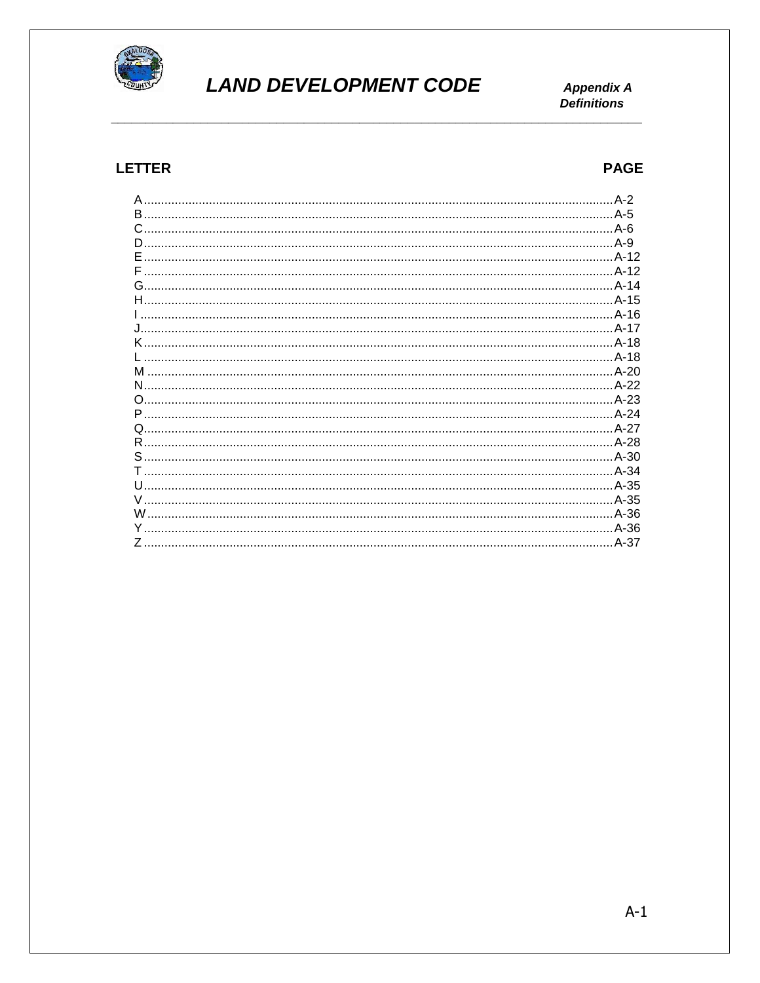

# **LAND DEVELOPMENT CODE**

**Appendix A Definitions** 

#### **LETTER**

#### **PAGE**

| B. |        |
|----|--------|
|    |        |
| D. |        |
| F. |        |
|    |        |
|    |        |
|    |        |
|    |        |
|    |        |
|    |        |
|    |        |
|    |        |
| м  |        |
| N  |        |
| O  |        |
|    |        |
|    |        |
|    |        |
|    |        |
|    |        |
|    |        |
|    |        |
|    |        |
| W  |        |
| Y. |        |
|    |        |
|    | . A-37 |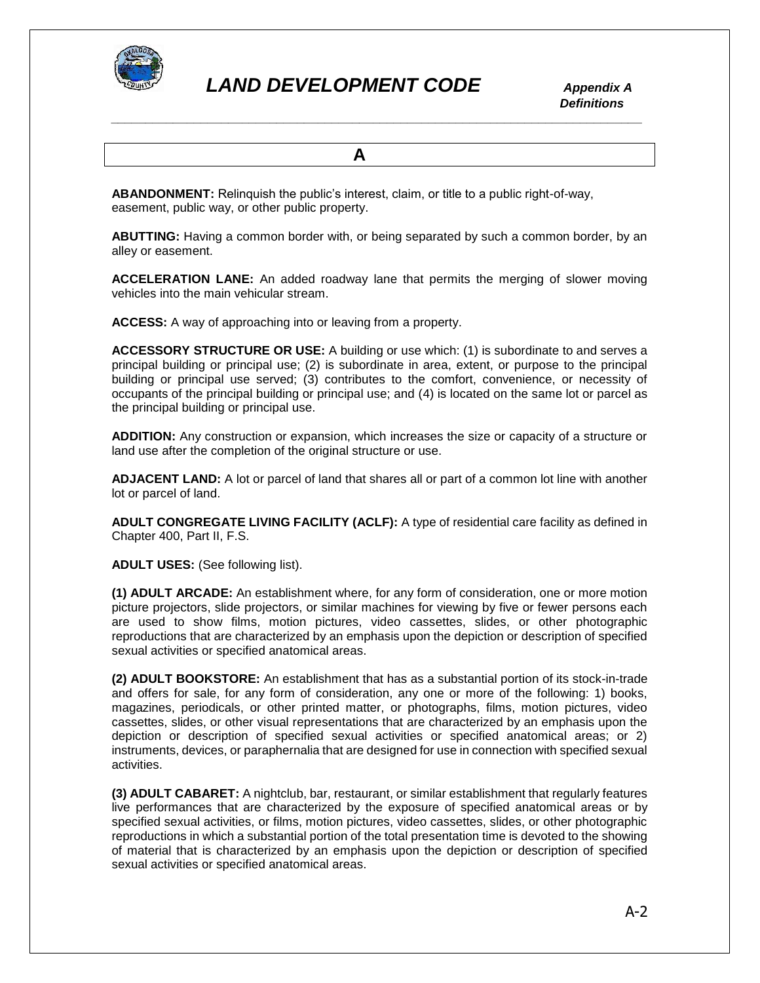

 *Definitions \_\_\_\_\_\_\_\_\_\_\_\_\_\_\_\_\_\_\_\_\_\_\_\_\_\_\_\_\_\_\_\_\_\_\_\_\_\_\_\_\_\_\_\_\_\_\_\_\_\_\_\_\_\_\_\_\_\_\_\_\_\_\_\_\_\_\_\_\_\_\_\_\_\_\_\_\_*

 **A**

**ABANDONMENT:** Relinquish the public's interest, claim, or title to a public right-of-way, easement, public way, or other public property.

**ABUTTING:** Having a common border with, or being separated by such a common border, by an alley or easement.

**ACCELERATION LANE:** An added roadway lane that permits the merging of slower moving vehicles into the main vehicular stream.

**ACCESS:** A way of approaching into or leaving from a property.

**ACCESSORY STRUCTURE OR USE:** A building or use which: (1) is subordinate to and serves a principal building or principal use; (2) is subordinate in area, extent, or purpose to the principal building or principal use served; (3) contributes to the comfort, convenience, or necessity of occupants of the principal building or principal use; and (4) is located on the same lot or parcel as the principal building or principal use.

**ADDITION:** Any construction or expansion, which increases the size or capacity of a structure or land use after the completion of the original structure or use.

**ADJACENT LAND:** A lot or parcel of land that shares all or part of a common lot line with another lot or parcel of land.

**ADULT CONGREGATE LIVING FACILITY (ACLF):** A type of residential care facility as defined in Chapter 400, Part II, F.S.

**ADULT USES:** (See following list).

**(1) ADULT ARCADE:** An establishment where, for any form of consideration, one or more motion picture projectors, slide projectors, or similar machines for viewing by five or fewer persons each are used to show films, motion pictures, video cassettes, slides, or other photographic reproductions that are characterized by an emphasis upon the depiction or description of specified sexual activities or specified anatomical areas.

**(2) ADULT BOOKSTORE:** An establishment that has as a substantial portion of its stock-in-trade and offers for sale, for any form of consideration, any one or more of the following: 1) books, magazines, periodicals, or other printed matter, or photographs, films, motion pictures, video cassettes, slides, or other visual representations that are characterized by an emphasis upon the depiction or description of specified sexual activities or specified anatomical areas; or 2) instruments, devices, or paraphernalia that are designed for use in connection with specified sexual activities.

**(3) ADULT CABARET:** A nightclub, bar, restaurant, or similar establishment that regularly features live performances that are characterized by the exposure of specified anatomical areas or by specified sexual activities, or films, motion pictures, video cassettes, slides, or other photographic reproductions in which a substantial portion of the total presentation time is devoted to the showing of material that is characterized by an emphasis upon the depiction or description of specified sexual activities or specified anatomical areas.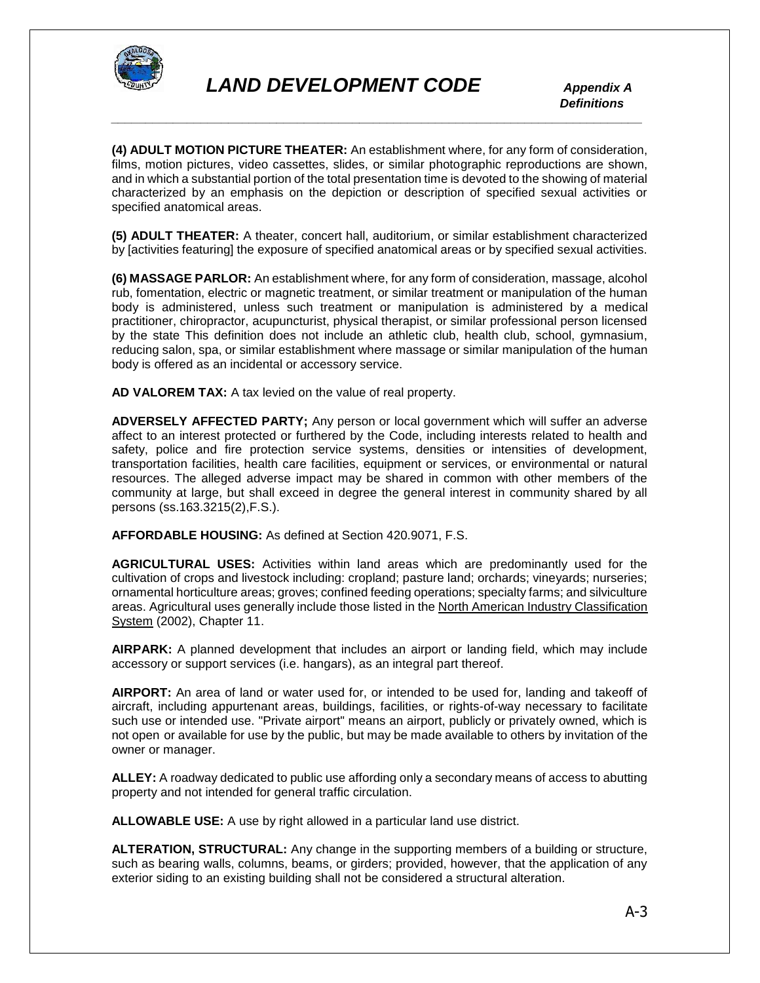

 *Definitions \_\_\_\_\_\_\_\_\_\_\_\_\_\_\_\_\_\_\_\_\_\_\_\_\_\_\_\_\_\_\_\_\_\_\_\_\_\_\_\_\_\_\_\_\_\_\_\_\_\_\_\_\_\_\_\_\_\_\_\_\_\_\_\_\_\_\_\_\_\_\_\_\_\_\_\_\_*

**(4) ADULT MOTION PICTURE THEATER:** An establishment where, for any form of consideration, films, motion pictures, video cassettes, slides, or similar photographic reproductions are shown, and in which a substantial portion of the total presentation time is devoted to the showing of material characterized by an emphasis on the depiction or description of specified sexual activities or specified anatomical areas.

**(5) ADULT THEATER:** A theater, concert hall, auditorium, or similar establishment characterized by [activities featuring] the exposure of specified anatomical areas or by specified sexual activities.

**(6) MASSAGE PARLOR:** An establishment where, for any form of consideration, massage, alcohol rub, fomentation, electric or magnetic treatment, or similar treatment or manipulation of the human body is administered, unless such treatment or manipulation is administered by a medical practitioner, chiropractor, acupuncturist, physical therapist, or similar professional person licensed by the state This definition does not include an athletic club, health club, school, gymnasium, reducing salon, spa, or similar establishment where massage or similar manipulation of the human body is offered as an incidental or accessory service.

**AD VALOREM TAX:** A tax levied on the value of real property.

**ADVERSELY AFFECTED PARTY;** Any person or local government which will suffer an adverse affect to an interest protected or furthered by the Code, including interests related to health and safety, police and fire protection service systems, densities or intensities of development, transportation facilities, health care facilities, equipment or services, or environmental or natural resources. The alleged adverse impact may be shared in common with other members of the community at large, but shall exceed in degree the general interest in community shared by all persons (ss.163.3215(2),F.S.).

**AFFORDABLE HOUSING:** As defined at Section 420.9071, F.S.

**AGRICULTURAL USES:** Activities within land areas which are predominantly used for the cultivation of crops and livestock including: cropland; pasture land; orchards; vineyards; nurseries; ornamental horticulture areas; groves; confined feeding operations; specialty farms; and silviculture areas. Agricultural uses generally include those listed in the North American Industry Classification System (2002), Chapter 11.

**AIRPARK:** A planned development that includes an airport or landing field, which may include accessory or support services (i.e. hangars), as an integral part thereof.

**AIRPORT:** An area of land or water used for, or intended to be used for, landing and takeoff of aircraft, including appurtenant areas, buildings, facilities, or rights-of-way necessary to facilitate such use or intended use. "Private airport" means an airport, publicly or privately owned, which is not open or available for use by the public, but may be made available to others by invitation of the owner or manager.

**ALLEY:** A roadway dedicated to public use affording only a secondary means of access to abutting property and not intended for general traffic circulation.

**ALLOWABLE USE:** A use by right allowed in a particular land use district.

**ALTERATION, STRUCTURAL:** Any change in the supporting members of a building or structure, such as bearing walls, columns, beams, or girders; provided, however, that the application of any exterior siding to an existing building shall not be considered a structural alteration.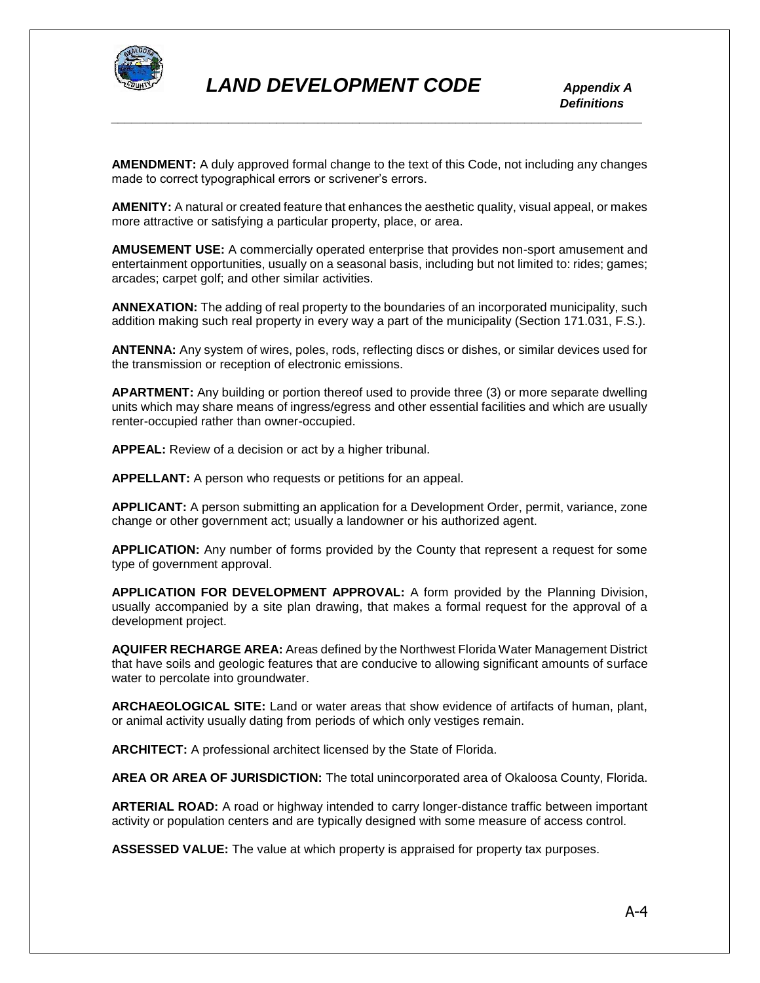

**AMENDMENT:** A duly approved formal change to the text of this Code, not including any changes made to correct typographical errors or scrivener's errors.

*\_\_\_\_\_\_\_\_\_\_\_\_\_\_\_\_\_\_\_\_\_\_\_\_\_\_\_\_\_\_\_\_\_\_\_\_\_\_\_\_\_\_\_\_\_\_\_\_\_\_\_\_\_\_\_\_\_\_\_\_\_\_\_\_\_\_\_\_\_\_\_\_\_\_\_\_\_*

**AMENITY:** A natural or created feature that enhances the aesthetic quality, visual appeal, or makes more attractive or satisfying a particular property, place, or area.

**AMUSEMENT USE:** A commercially operated enterprise that provides non-sport amusement and entertainment opportunities, usually on a seasonal basis, including but not limited to: rides; games; arcades; carpet golf; and other similar activities.

**ANNEXATION:** The adding of real property to the boundaries of an incorporated municipality, such addition making such real property in every way a part of the municipality (Section 171.031, F.S.).

**ANTENNA:** Any system of wires, poles, rods, reflecting discs or dishes, or similar devices used for the transmission or reception of electronic emissions.

**APARTMENT:** Any building or portion thereof used to provide three (3) or more separate dwelling units which may share means of ingress/egress and other essential facilities and which are usually renter-occupied rather than owner-occupied.

**APPEAL:** Review of a decision or act by a higher tribunal.

**APPELLANT:** A person who requests or petitions for an appeal.

**APPLICANT:** A person submitting an application for a Development Order, permit, variance, zone change or other government act; usually a landowner or his authorized agent.

**APPLICATION:** Any number of forms provided by the County that represent a request for some type of government approval.

**APPLICATION FOR DEVELOPMENT APPROVAL:** A form provided by the Planning Division, usually accompanied by a site plan drawing, that makes a formal request for the approval of a development project.

**AQUIFER RECHARGE AREA:** Areas defined by the Northwest Florida Water Management District that have soils and geologic features that are conducive to allowing significant amounts of surface water to percolate into groundwater.

**ARCHAEOLOGICAL SITE:** Land or water areas that show evidence of artifacts of human, plant, or animal activity usually dating from periods of which only vestiges remain.

**ARCHITECT:** A professional architect licensed by the State of Florida.

**AREA OR AREA OF JURISDICTION:** The total unincorporated area of Okaloosa County, Florida.

**ARTERIAL ROAD:** A road or highway intended to carry longer-distance traffic between important activity or population centers and are typically designed with some measure of access control.

**ASSESSED VALUE:** The value at which property is appraised for property tax purposes.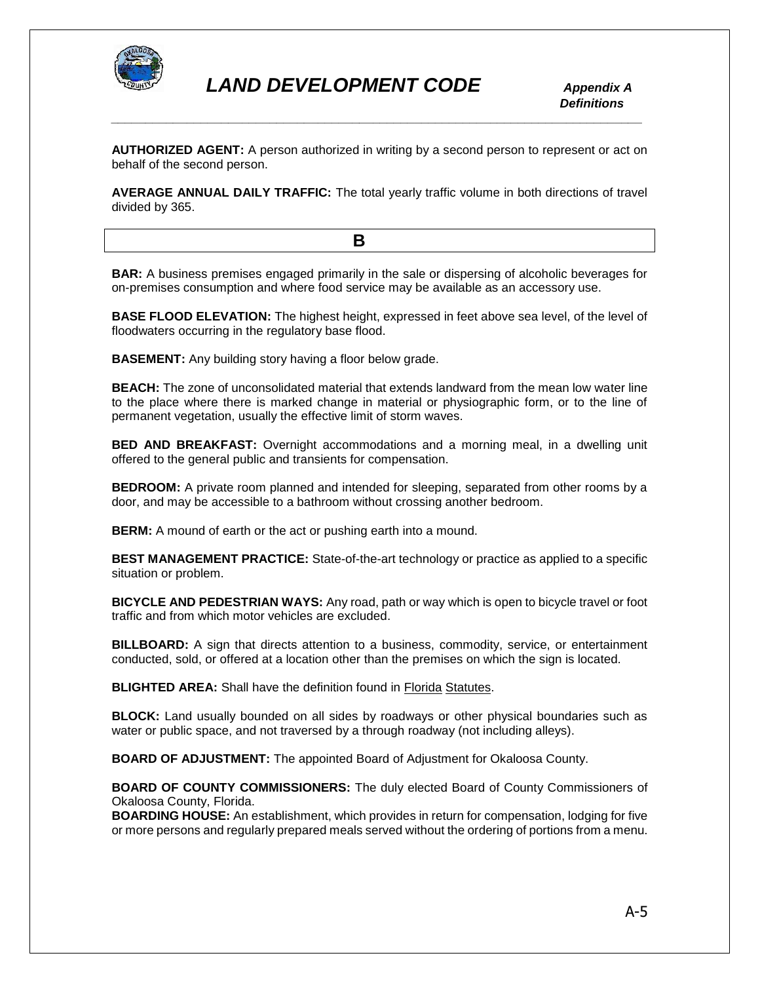

 *Definitions*

**AUTHORIZED AGENT:** A person authorized in writing by a second person to represent or act on behalf of the second person.

*\_\_\_\_\_\_\_\_\_\_\_\_\_\_\_\_\_\_\_\_\_\_\_\_\_\_\_\_\_\_\_\_\_\_\_\_\_\_\_\_\_\_\_\_\_\_\_\_\_\_\_\_\_\_\_\_\_\_\_\_\_\_\_\_\_\_\_\_\_\_\_\_\_\_\_\_\_*

**AVERAGE ANNUAL DAILY TRAFFIC:** The total yearly traffic volume in both directions of travel divided by 365.

**B B B B** 

**BAR:** A business premises engaged primarily in the sale or dispersing of alcoholic beverages for on-premises consumption and where food service may be available as an accessory use.

**BASE FLOOD ELEVATION:** The highest height, expressed in feet above sea level, of the level of floodwaters occurring in the regulatory base flood.

**BASEMENT:** Any building story having a floor below grade.

**BEACH:** The zone of unconsolidated material that extends landward from the mean low water line to the place where there is marked change in material or physiographic form, or to the line of permanent vegetation, usually the effective limit of storm waves.

**BED AND BREAKFAST:** Overnight accommodations and a morning meal, in a dwelling unit offered to the general public and transients for compensation.

**BEDROOM:** A private room planned and intended for sleeping, separated from other rooms by a door, and may be accessible to a bathroom without crossing another bedroom.

**BERM:** A mound of earth or the act or pushing earth into a mound.

**BEST MANAGEMENT PRACTICE:** State-of-the-art technology or practice as applied to a specific situation or problem.

**BICYCLE AND PEDESTRIAN WAYS:** Any road, path or way which is open to bicycle travel or foot traffic and from which motor vehicles are excluded.

**BILLBOARD:** A sign that directs attention to a business, commodity, service, or entertainment conducted, sold, or offered at a location other than the premises on which the sign is located.

**BLIGHTED AREA:** Shall have the definition found in Florida Statutes.

**BLOCK:** Land usually bounded on all sides by roadways or other physical boundaries such as water or public space, and not traversed by a through roadway (not including alleys).

**BOARD OF ADJUSTMENT:** The appointed Board of Adjustment for Okaloosa County.

**BOARD OF COUNTY COMMISSIONERS:** The duly elected Board of County Commissioners of Okaloosa County, Florida.

**BOARDING HOUSE:** An establishment, which provides in return for compensation, lodging for five or more persons and regularly prepared meals served without the ordering of portions from a menu.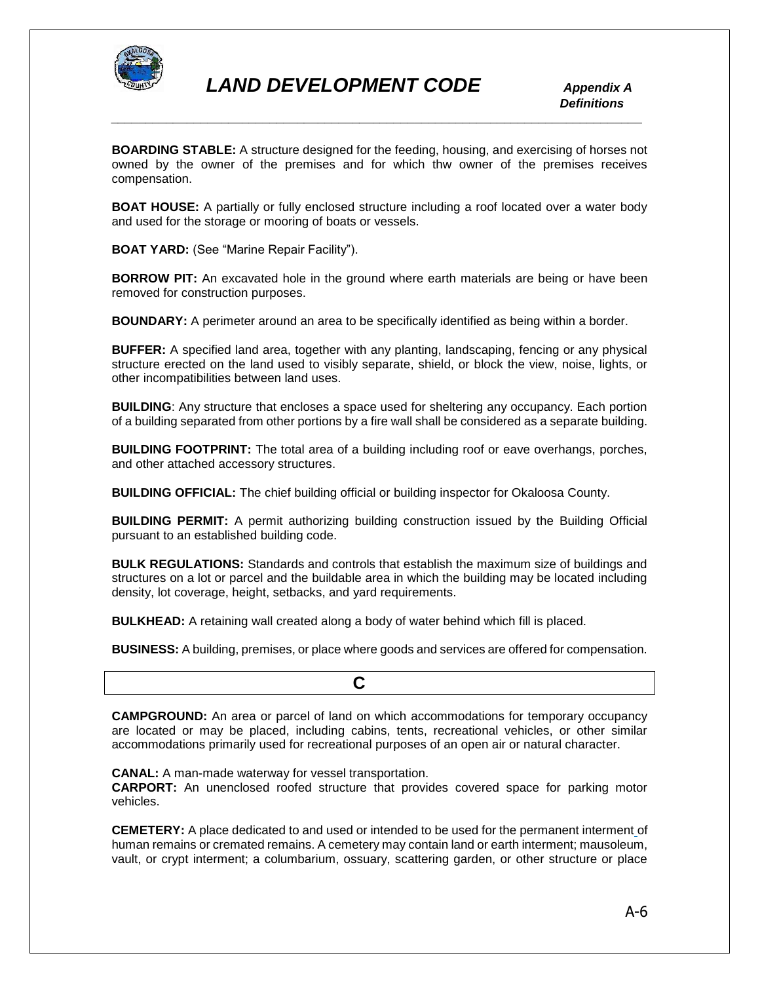

 *Definitions \_\_\_\_\_\_\_\_\_\_\_\_\_\_\_\_\_\_\_\_\_\_\_\_\_\_\_\_\_\_\_\_\_\_\_\_\_\_\_\_\_\_\_\_\_\_\_\_\_\_\_\_\_\_\_\_\_\_\_\_\_\_\_\_\_\_\_\_\_\_\_\_\_\_\_\_\_*

**BOARDING STABLE:** A structure designed for the feeding, housing, and exercising of horses not owned by the owner of the premises and for which thw owner of the premises receives compensation.

**BOAT HOUSE:** A partially or fully enclosed structure including a roof located over a water body and used for the storage or mooring of boats or vessels.

**BOAT YARD:** (See "Marine Repair Facility").

**BORROW PIT:** An excavated hole in the ground where earth materials are being or have been removed for construction purposes.

**BOUNDARY:** A perimeter around an area to be specifically identified as being within a border.

**BUFFER:** A specified land area, together with any planting, landscaping, fencing or any physical structure erected on the land used to visibly separate, shield, or block the view, noise, lights, or other incompatibilities between land uses.

**BUILDING**: Any structure that encloses a space used for sheltering any occupancy. Each portion of a building separated from other portions by a fire wall shall be considered as a separate building.

**BUILDING FOOTPRINT:** The total area of a building including roof or eave overhangs, porches, and other attached accessory structures.

**BUILDING OFFICIAL:** The chief building official or building inspector for Okaloosa County.

**BUILDING PERMIT:** A permit authorizing building construction issued by the Building Official pursuant to an established building code.

**BULK REGULATIONS:** Standards and controls that establish the maximum size of buildings and structures on a lot or parcel and the buildable area in which the building may be located including density, lot coverage, height, setbacks, and yard requirements.

**BULKHEAD:** A retaining wall created along a body of water behind which fill is placed.

**BUSINESS:** A building, premises, or place where goods and services are offered for compensation.

**CAMPGROUND:** An area or parcel of land on which accommodations for temporary occupancy are located or may be placed, including cabins, tents, recreational vehicles, or other similar accommodations primarily used for recreational purposes of an open air or natural character.

**CANAL:** A man-made waterway for vessel transportation.

**C C** 

**CARPORT:** An unenclosed roofed structure that provides covered space for parking motor vehicles.

**CEMETERY:** A place dedicated to and used or intended to be used for the permanent interment of human remains or cremated remains. A cemetery may contain land or earth interment; mausoleum, vault, or crypt interment; a columbarium, ossuary, scattering garden, or other structure or place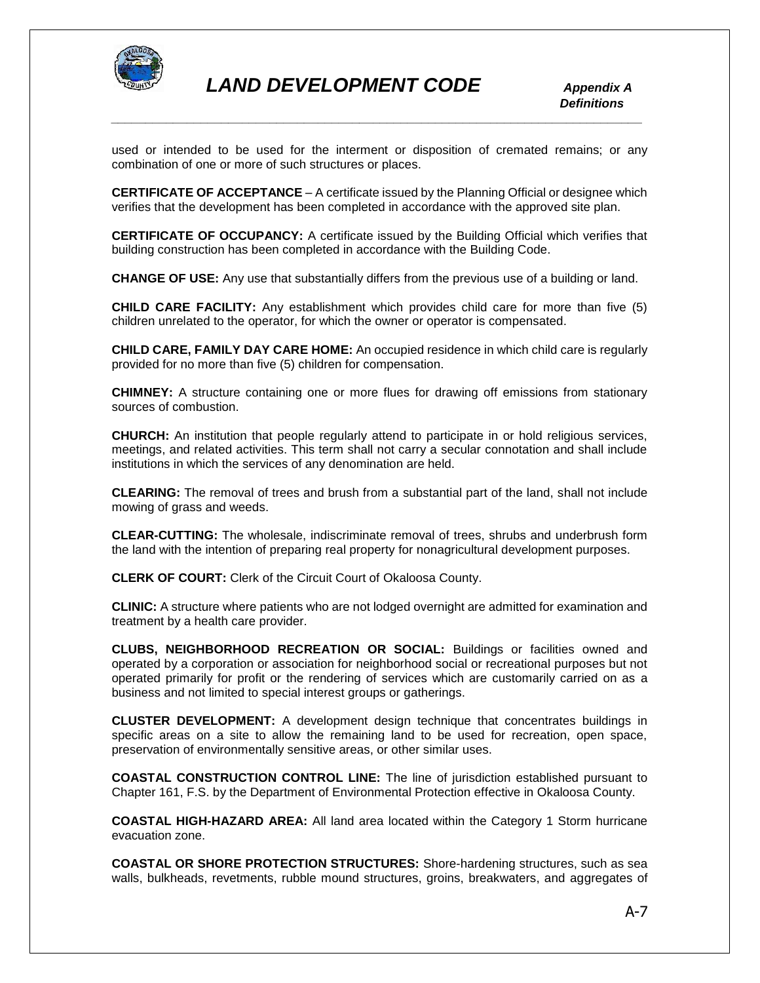

used or intended to be used for the interment or disposition of cremated remains; or any combination of one or more of such structures or places.

**CERTIFICATE OF ACCEPTANCE** – A certificate issued by the Planning Official or designee which verifies that the development has been completed in accordance with the approved site plan.

**CERTIFICATE OF OCCUPANCY:** A certificate issued by the Building Official which verifies that building construction has been completed in accordance with the Building Code.

**CHANGE OF USE:** Any use that substantially differs from the previous use of a building or land.

**CHILD CARE FACILITY:** Any establishment which provides child care for more than five (5) children unrelated to the operator, for which the owner or operator is compensated.

**CHILD CARE, FAMILY DAY CARE HOME:** An occupied residence in which child care is regularly provided for no more than five (5) children for compensation.

**CHIMNEY:** A structure containing one or more flues for drawing off emissions from stationary sources of combustion.

**CHURCH:** An institution that people regularly attend to participate in or hold religious services, meetings, and related activities. This term shall not carry a secular connotation and shall include institutions in which the services of any denomination are held.

**CLEARING:** The removal of trees and brush from a substantial part of the land, shall not include mowing of grass and weeds.

**CLEAR-CUTTING:** The wholesale, indiscriminate removal of trees, shrubs and underbrush form the land with the intention of preparing real property for nonagricultural development purposes.

**CLERK OF COURT:** Clerk of the Circuit Court of Okaloosa County.

**CLINIC:** A structure where patients who are not lodged overnight are admitted for examination and treatment by a health care provider.

**CLUBS, NEIGHBORHOOD RECREATION OR SOCIAL:** Buildings or facilities owned and operated by a corporation or association for neighborhood social or recreational purposes but not operated primarily for profit or the rendering of services which are customarily carried on as a business and not limited to special interest groups or gatherings.

**CLUSTER DEVELOPMENT:** A development design technique that concentrates buildings in specific areas on a site to allow the remaining land to be used for recreation, open space, preservation of environmentally sensitive areas, or other similar uses.

**COASTAL CONSTRUCTION CONTROL LINE:** The line of jurisdiction established pursuant to Chapter 161, F.S. by the Department of Environmental Protection effective in Okaloosa County.

**COASTAL HIGH-HAZARD AREA:** All land area located within the Category 1 Storm hurricane evacuation zone.

**COASTAL OR SHORE PROTECTION STRUCTURES:** Shore-hardening structures, such as sea walls, bulkheads, revetments, rubble mound structures, groins, breakwaters, and aggregates of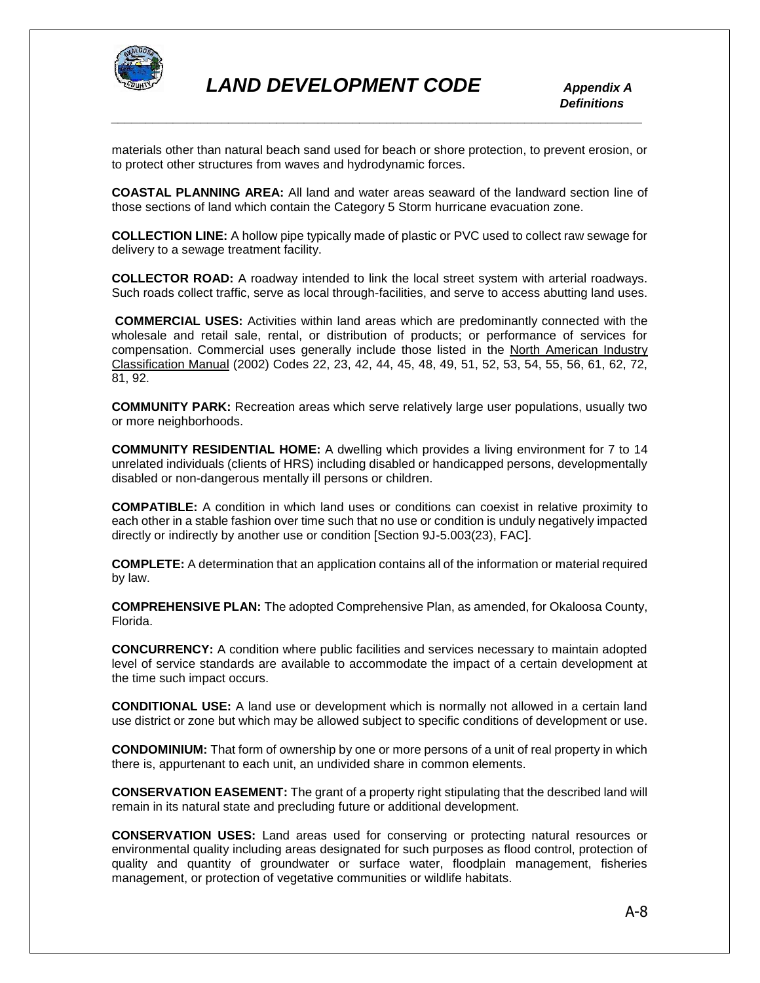

materials other than natural beach sand used for beach or shore protection, to prevent erosion, or to protect other structures from waves and hydrodynamic forces.

**COASTAL PLANNING AREA:** All land and water areas seaward of the landward section line of those sections of land which contain the Category 5 Storm hurricane evacuation zone.

**COLLECTION LINE:** A hollow pipe typically made of plastic or PVC used to collect raw sewage for delivery to a sewage treatment facility.

**COLLECTOR ROAD:** A roadway intended to link the local street system with arterial roadways. Such roads collect traffic, serve as local through-facilities, and serve to access abutting land uses.

**COMMERCIAL USES:** Activities within land areas which are predominantly connected with the wholesale and retail sale, rental, or distribution of products; or performance of services for compensation. Commercial uses generally include those listed in the North American Industry Classification Manual (2002) Codes 22, 23, 42, 44, 45, 48, 49, 51, 52, 53, 54, 55, 56, 61, 62, 72, 81, 92.

**COMMUNITY PARK:** Recreation areas which serve relatively large user populations, usually two or more neighborhoods.

**COMMUNITY RESIDENTIAL HOME:** A dwelling which provides a living environment for 7 to 14 unrelated individuals (clients of HRS) including disabled or handicapped persons, developmentally disabled or non-dangerous mentally ill persons or children.

**COMPATIBLE:** A condition in which land uses or conditions can coexist in relative proximity to each other in a stable fashion over time such that no use or condition is unduly negatively impacted directly or indirectly by another use or condition [Section 9J-5.003(23), FAC].

**COMPLETE:** A determination that an application contains all of the information or material required by law.

**COMPREHENSIVE PLAN:** The adopted Comprehensive Plan, as amended, for Okaloosa County, Florida.

**CONCURRENCY:** A condition where public facilities and services necessary to maintain adopted level of service standards are available to accommodate the impact of a certain development at the time such impact occurs.

**CONDITIONAL USE:** A land use or development which is normally not allowed in a certain land use district or zone but which may be allowed subject to specific conditions of development or use.

**CONDOMINIUM:** That form of ownership by one or more persons of a unit of real property in which there is, appurtenant to each unit, an undivided share in common elements.

**CONSERVATION EASEMENT:** The grant of a property right stipulating that the described land will remain in its natural state and precluding future or additional development.

**CONSERVATION USES:** Land areas used for conserving or protecting natural resources or environmental quality including areas designated for such purposes as flood control, protection of quality and quantity of groundwater or surface water, floodplain management, fisheries management, or protection of vegetative communities or wildlife habitats.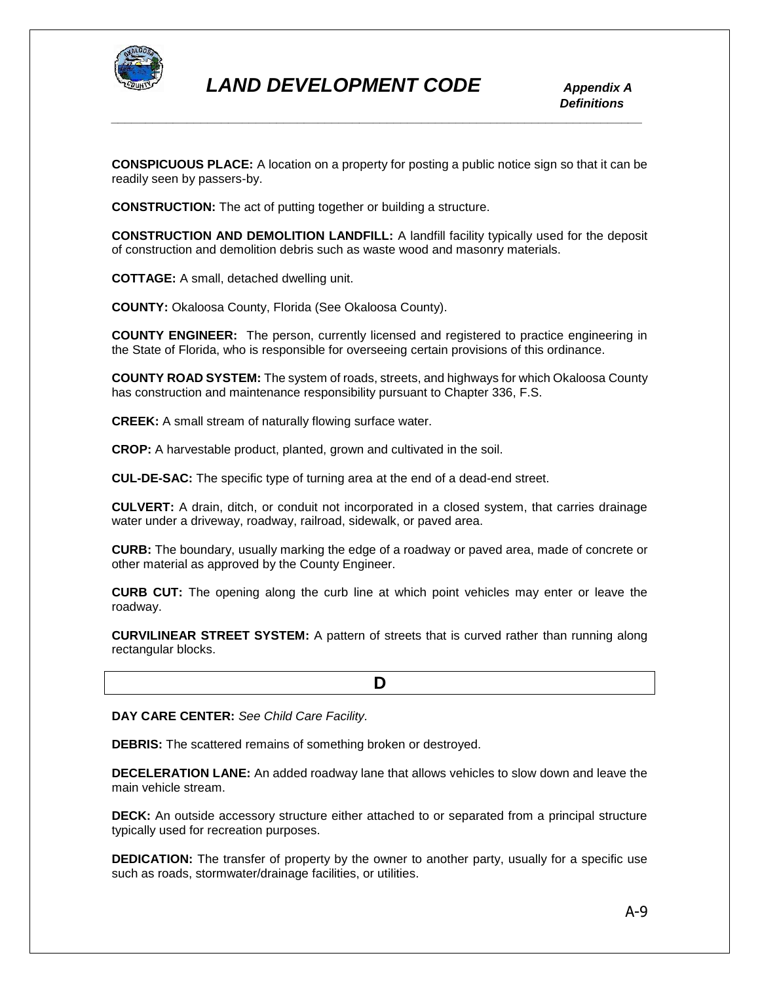

**CONSPICUOUS PLACE:** A location on a property for posting a public notice sign so that it can be readily seen by passers-by.

**CONSTRUCTION:** The act of putting together or building a structure.

**CONSTRUCTION AND DEMOLITION LANDFILL:** A landfill facility typically used for the deposit of construction and demolition debris such as waste wood and masonry materials.

**COTTAGE:** A small, detached dwelling unit.

**COUNTY:** Okaloosa County, Florida (See Okaloosa County).

**COUNTY ENGINEER:** The person, currently licensed and registered to practice engineering in the State of Florida, who is responsible for overseeing certain provisions of this ordinance.

**COUNTY ROAD SYSTEM:** The system of roads, streets, and highways for which Okaloosa County has construction and maintenance responsibility pursuant to Chapter 336, F.S.

**CREEK:** A small stream of naturally flowing surface water.

**CROP:** A harvestable product, planted, grown and cultivated in the soil.

**CUL-DE-SAC:** The specific type of turning area at the end of a dead-end street.

**CULVERT:** A drain, ditch, or conduit not incorporated in a closed system, that carries drainage water under a driveway, roadway, railroad, sidewalk, or paved area.

**CURB:** The boundary, usually marking the edge of a roadway or paved area, made of concrete or other material as approved by the County Engineer.

**CURB CUT:** The opening along the curb line at which point vehicles may enter or leave the roadway.

**CURVILINEAR STREET SYSTEM:** A pattern of streets that is curved rather than running along rectangular blocks.

**DAY CARE CENTER:** *See Child Care Facility.*

**D**  $\overline{D}$ 

**DEBRIS:** The scattered remains of something broken or destroyed.

**DECELERATION LANE:** An added roadway lane that allows vehicles to slow down and leave the main vehicle stream.

**DECK:** An outside accessory structure either attached to or separated from a principal structure typically used for recreation purposes.

**DEDICATION:** The transfer of property by the owner to another party, usually for a specific use such as roads, stormwater/drainage facilities, or utilities.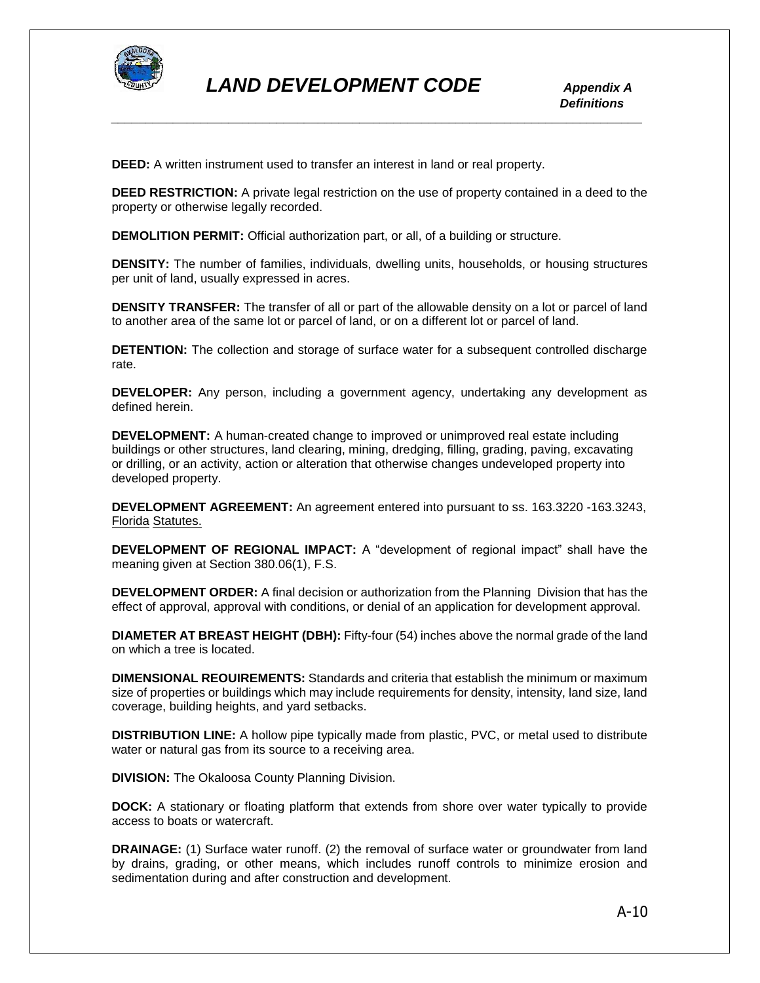

**DEED:** A written instrument used to transfer an interest in land or real property.

**DEED RESTRICTION:** A private legal restriction on the use of property contained in a deed to the property or otherwise legally recorded.

**DEMOLITION PERMIT:** Official authorization part, or all, of a building or structure.

**DENSITY:** The number of families, individuals, dwelling units, households, or housing structures per unit of land, usually expressed in acres.

**DENSITY TRANSFER:** The transfer of all or part of the allowable density on a lot or parcel of land to another area of the same lot or parcel of land, or on a different lot or parcel of land.

**DETENTION:** The collection and storage of surface water for a subsequent controlled discharge rate.

**DEVELOPER:** Any person, including a government agency, undertaking any development as defined herein.

**DEVELOPMENT:** A human-created change to improved or unimproved real estate including buildings or other structures, land clearing, mining, dredging, filling, grading, paving, excavating or drilling, or an activity, action or alteration that otherwise changes undeveloped property into developed property.

**DEVELOPMENT AGREEMENT:** An agreement entered into pursuant to ss. 163.3220 -163.3243, Florida Statutes.

**DEVELOPMENT OF REGIONAL IMPACT:** A "development of regional impact" shall have the meaning given at Section 380.06(1), F.S.

**DEVELOPMENT ORDER:** A final decision or authorization from the Planning Division that has the effect of approval, approval with conditions, or denial of an application for development approval.

**DIAMETER AT BREAST HEIGHT (DBH):** Fifty-four (54) inches above the normal grade of the land on which a tree is located.

**DIMENSIONAL REOUIREMENTS:** Standards and criteria that establish the minimum or maximum size of properties or buildings which may include requirements for density, intensity, land size, land coverage, building heights, and yard setbacks.

**DISTRIBUTION LINE:** A hollow pipe typically made from plastic, PVC, or metal used to distribute water or natural gas from its source to a receiving area.

**DIVISION:** The Okaloosa County Planning Division.

**DOCK:** A stationary or floating platform that extends from shore over water typically to provide access to boats or watercraft.

**DRAINAGE:** (1) Surface water runoff. (2) the removal of surface water or groundwater from land by drains, grading, or other means, which includes runoff controls to minimize erosion and sedimentation during and after construction and development.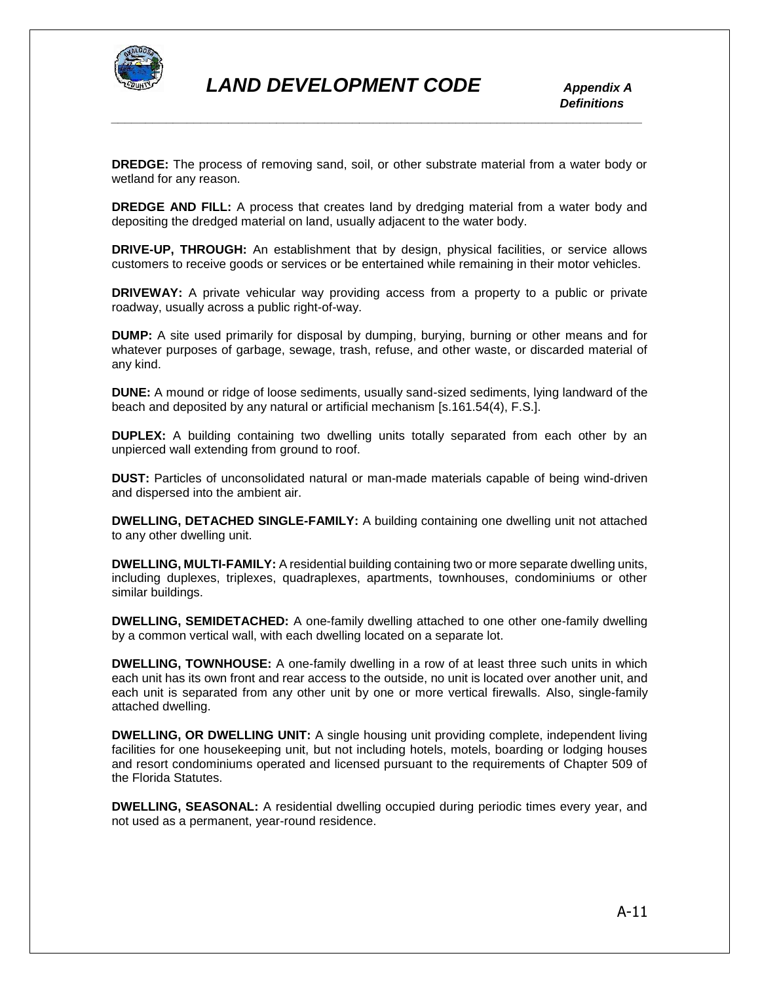

**DREDGE:** The process of removing sand, soil, or other substrate material from a water body or wetland for any reason.

*\_\_\_\_\_\_\_\_\_\_\_\_\_\_\_\_\_\_\_\_\_\_\_\_\_\_\_\_\_\_\_\_\_\_\_\_\_\_\_\_\_\_\_\_\_\_\_\_\_\_\_\_\_\_\_\_\_\_\_\_\_\_\_\_\_\_\_\_\_\_\_\_\_\_\_\_\_*

**DREDGE AND FILL:** A process that creates land by dredging material from a water body and depositing the dredged material on land, usually adjacent to the water body.

**DRIVE-UP, THROUGH:** An establishment that by design, physical facilities, or service allows customers to receive goods or services or be entertained while remaining in their motor vehicles.

**DRIVEWAY:** A private vehicular way providing access from a property to a public or private roadway, usually across a public right-of-way.

**DUMP:** A site used primarily for disposal by dumping, burying, burning or other means and for whatever purposes of garbage, sewage, trash, refuse, and other waste, or discarded material of any kind.

**DUNE:** A mound or ridge of loose sediments, usually sand-sized sediments, lying landward of the beach and deposited by any natural or artificial mechanism [s.161.54(4), F.S.].

**DUPLEX:** A building containing two dwelling units totally separated from each other by an unpierced wall extending from ground to roof.

**DUST:** Particles of unconsolidated natural or man-made materials capable of being wind-driven and dispersed into the ambient air.

**DWELLING, DETACHED SINGLE-FAMILY:** A building containing one dwelling unit not attached to any other dwelling unit.

**DWELLING, MULTI-FAMILY:** A residential building containing two or more separate dwelling units, including duplexes, triplexes, quadraplexes, apartments, townhouses, condominiums or other similar buildings.

**DWELLING, SEMIDETACHED:** A one-family dwelling attached to one other one-family dwelling by a common vertical wall, with each dwelling located on a separate lot.

**DWELLING, TOWNHOUSE:** A one-family dwelling in a row of at least three such units in which each unit has its own front and rear access to the outside, no unit is located over another unit, and each unit is separated from any other unit by one or more vertical firewalls. Also, single-family attached dwelling.

**DWELLING, OR DWELLING UNIT:** A single housing unit providing complete, independent living facilities for one housekeeping unit, but not including hotels, motels, boarding or lodging houses and resort condominiums operated and licensed pursuant to the requirements of Chapter 509 of the Florida Statutes.

**DWELLING, SEASONAL:** A residential dwelling occupied during periodic times every year, and not used as a permanent, year-round residence.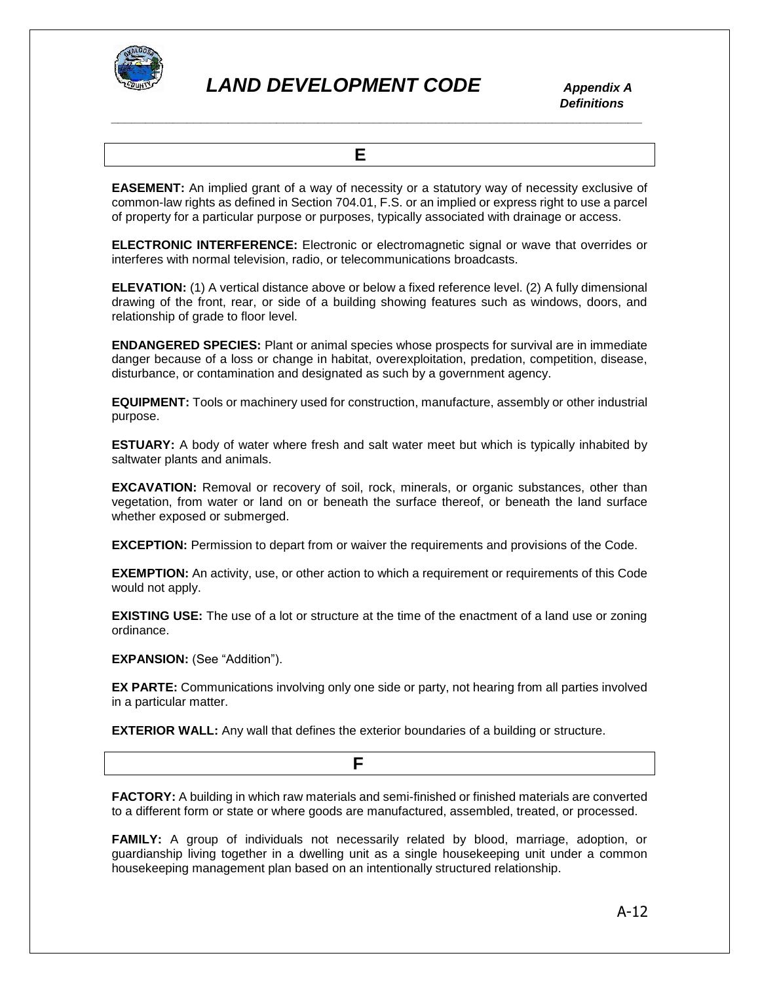

 *Definitions \_\_\_\_\_\_\_\_\_\_\_\_\_\_\_\_\_\_\_\_\_\_\_\_\_\_\_\_\_\_\_\_\_\_\_\_\_\_\_\_\_\_\_\_\_\_\_\_\_\_\_\_\_\_\_\_\_\_\_\_\_\_\_\_\_\_\_\_\_\_\_\_\_\_\_\_\_*

 **E** 

**EASEMENT:** An implied grant of a way of necessity or a statutory way of necessity exclusive of common-law rights as defined in Section 704.01, F.S. or an implied or express right to use a parcel of property for a particular purpose or purposes, typically associated with drainage or access.

**ELECTRONIC INTERFERENCE:** Electronic or electromagnetic signal or wave that overrides or interferes with normal television, radio, or telecommunications broadcasts.

**ELEVATION:** (1) A vertical distance above or below a fixed reference level. (2) A fully dimensional drawing of the front, rear, or side of a building showing features such as windows, doors, and relationship of grade to floor level.

**ENDANGERED SPECIES:** Plant or animal species whose prospects for survival are in immediate danger because of a loss or change in habitat, overexploitation, predation, competition, disease, disturbance, or contamination and designated as such by a government agency.

**EQUIPMENT:** Tools or machinery used for construction, manufacture, assembly or other industrial purpose.

**ESTUARY:** A body of water where fresh and salt water meet but which is typically inhabited by saltwater plants and animals.

**EXCAVATION:** Removal or recovery of soil, rock, minerals, or organic substances, other than vegetation, from water or land on or beneath the surface thereof, or beneath the land surface whether exposed or submerged.

**EXCEPTION:** Permission to depart from or waiver the requirements and provisions of the Code.

**EXEMPTION:** An activity, use, or other action to which a requirement or requirements of this Code would not apply.

**EXISTING USE:** The use of a lot or structure at the time of the enactment of a land use or zoning ordinance.

**EXPANSION:** (See "Addition").

**EX PARTE:** Communications involving only one side or party, not hearing from all parties involved in a particular matter.

**EXTERIOR WALL:** Any wall that defines the exterior boundaries of a building or structure.

**F F F** 

**FACTORY:** A building in which raw materials and semi-finished or finished materials are converted to a different form or state or where goods are manufactured, assembled, treated, or processed.

**FAMILY:** A group of individuals not necessarily related by blood, marriage, adoption, or guardianship living together in a dwelling unit as a single housekeeping unit under a common housekeeping management plan based on an intentionally structured relationship.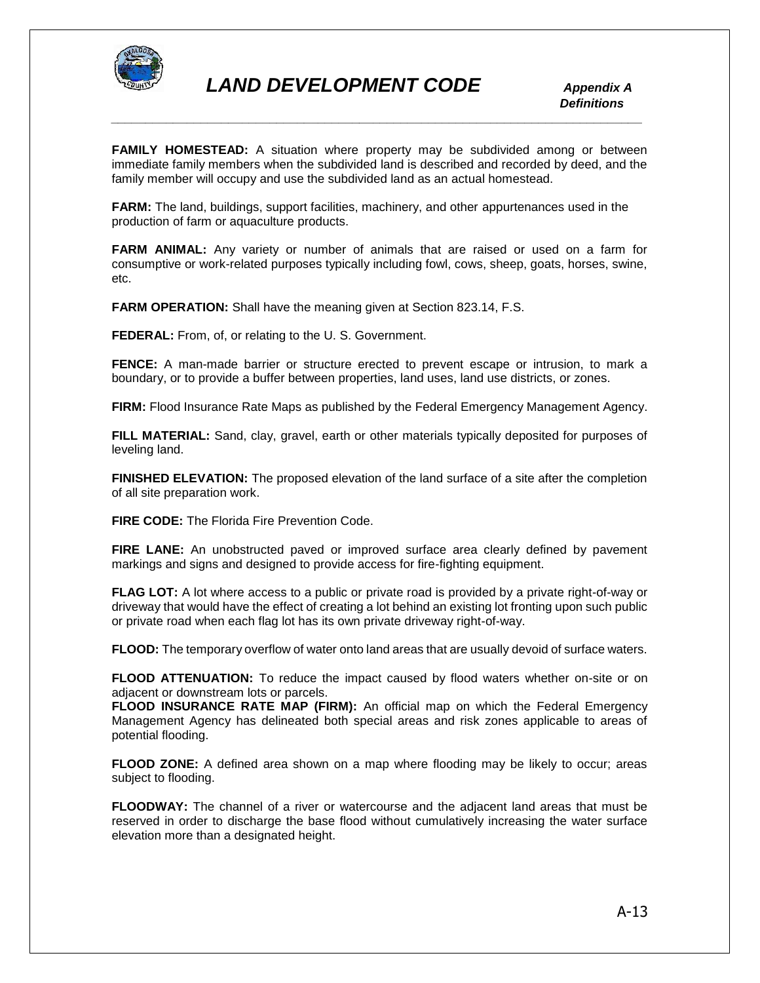

**FAMILY HOMESTEAD:** A situation where property may be subdivided among or between immediate family members when the subdivided land is described and recorded by deed, and the family member will occupy and use the subdivided land as an actual homestead.

**FARM:** The land, buildings, support facilities, machinery, and other appurtenances used in the production of farm or aquaculture products.

**FARM ANIMAL:** Any variety or number of animals that are raised or used on a farm for consumptive or work-related purposes typically including fowl, cows, sheep, goats, horses, swine, etc.

**FARM OPERATION:** Shall have the meaning given at Section 823.14, F.S.

**FEDERAL:** From, of, or relating to the U. S. Government.

**FENCE:** A man-made barrier or structure erected to prevent escape or intrusion, to mark a boundary, or to provide a buffer between properties, land uses, land use districts, or zones.

**FIRM:** Flood Insurance Rate Maps as published by the Federal Emergency Management Agency.

**FILL MATERIAL:** Sand, clay, gravel, earth or other materials typically deposited for purposes of leveling land.

**FINISHED ELEVATION:** The proposed elevation of the land surface of a site after the completion of all site preparation work.

**FIRE CODE:** The Florida Fire Prevention Code.

**FIRE LANE:** An unobstructed paved or improved surface area clearly defined by pavement markings and signs and designed to provide access for fire-fighting equipment.

**FLAG LOT:** A lot where access to a public or private road is provided by a private right-of-way or driveway that would have the effect of creating a lot behind an existing lot fronting upon such public or private road when each flag lot has its own private driveway right-of-way.

**FLOOD:** The temporary overflow of water onto land areas that are usually devoid of surface waters.

**FLOOD ATTENUATION:** To reduce the impact caused by flood waters whether on-site or on adjacent or downstream lots or parcels.

**FLOOD INSURANCE RATE MAP (FIRM):** An official map on which the Federal Emergency Management Agency has delineated both special areas and risk zones applicable to areas of potential flooding.

**FLOOD ZONE:** A defined area shown on a map where flooding may be likely to occur; areas subject to flooding.

**FLOODWAY:** The channel of a river or watercourse and the adjacent land areas that must be reserved in order to discharge the base flood without cumulatively increasing the water surface elevation more than a designated height.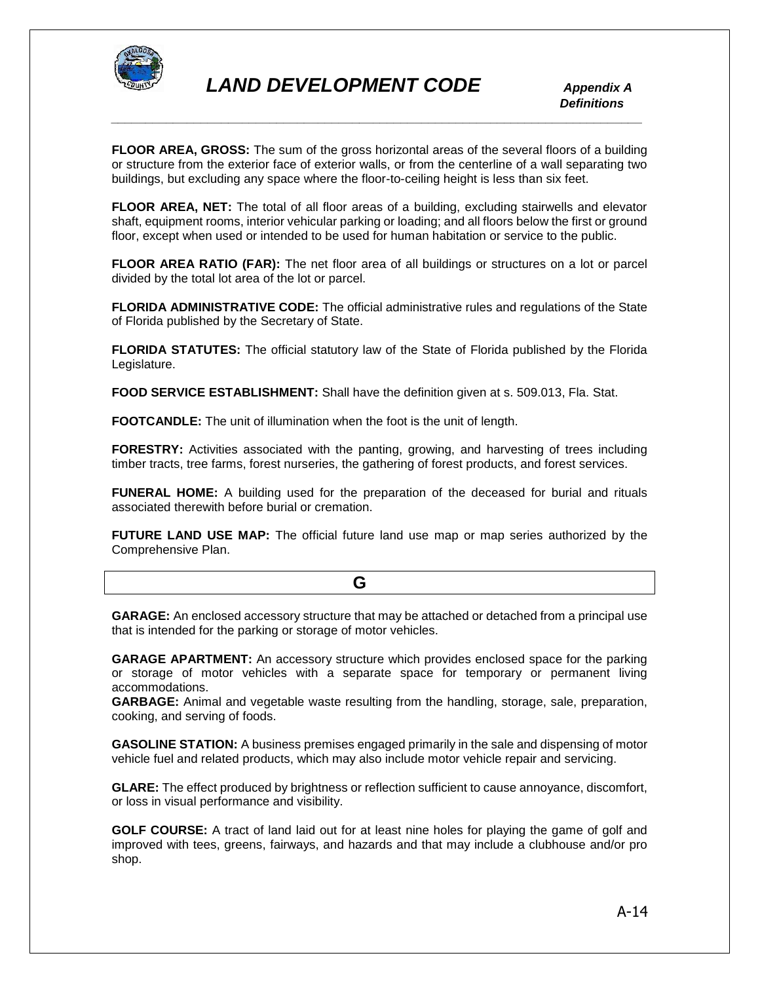

**FLOOR AREA, GROSS:** The sum of the gross horizontal areas of the several floors of a building or structure from the exterior face of exterior walls, or from the centerline of a wall separating two buildings, but excluding any space where the floor-to-ceiling height is less than six feet.

**FLOOR AREA, NET:** The total of all floor areas of a building, excluding stairwells and elevator shaft, equipment rooms, interior vehicular parking or loading; and all floors below the first or ground floor, except when used or intended to be used for human habitation or service to the public.

**FLOOR AREA RATIO (FAR):** The net floor area of all buildings or structures on a lot or parcel divided by the total lot area of the lot or parcel.

**FLORIDA ADMINISTRATIVE CODE:** The official administrative rules and regulations of the State of Florida published by the Secretary of State.

**FLORIDA STATUTES:** The official statutory law of the State of Florida published by the Florida Legislature.

**FOOD SERVICE ESTABLISHMENT:** Shall have the definition given at s. 509.013, Fla. Stat.

**FOOTCANDLE:** The unit of illumination when the foot is the unit of length.

**FORESTRY:** Activities associated with the panting, growing, and harvesting of trees including timber tracts, tree farms, forest nurseries, the gathering of forest products, and forest services.

**FUNERAL HOME:** A building used for the preparation of the deceased for burial and rituals associated therewith before burial or cremation.

**FUTURE LAND USE MAP:** The official future land use map or map series authorized by the Comprehensive Plan.

**GARAGE:** An enclosed accessory structure that may be attached or detached from a principal use that is intended for the parking or storage of motor vehicles.

**GARAGE APARTMENT:** An accessory structure which provides enclosed space for the parking or storage of motor vehicles with a separate space for temporary or permanent living accommodations.

**GARBAGE:** Animal and vegetable waste resulting from the handling, storage, sale, preparation, cooking, and serving of foods.

**GASOLINE STATION:** A business premises engaged primarily in the sale and dispensing of motor vehicle fuel and related products, which may also include motor vehicle repair and servicing.

**GLARE:** The effect produced by brightness or reflection sufficient to cause annoyance, discomfort, or loss in visual performance and visibility.

**GOLF COURSE:** A tract of land laid out for at least nine holes for playing the game of golf and improved with tees, greens, fairways, and hazards and that may include a clubhouse and/or pro shop.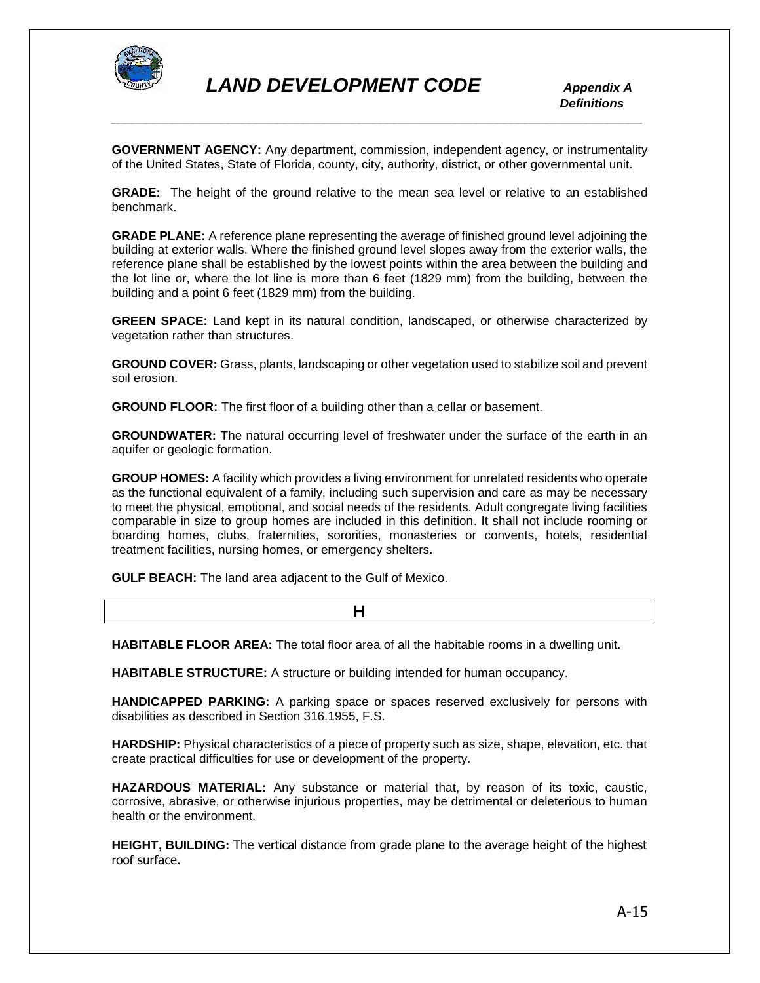

**GOVERNMENT AGENCY:** Any department, commission, independent agency, or instrumentality of the United States, State of Florida, county, city, authority, district, or other governmental unit.

**GRADE:** The height of the ground relative to the mean sea level or relative to an established benchmark.

**GRADE PLANE:** A reference plane representing the average of finished ground level adjoining the building at exterior walls. Where the finished ground level slopes away from the exterior walls, the reference plane shall be established by the lowest points within the area between the building and the lot line or, where the lot line is more than 6 feet (1829 mm) from the building, between the building and a point 6 feet (1829 mm) from the building.

**GREEN SPACE:** Land kept in its natural condition, landscaped, or otherwise characterized by vegetation rather than structures.

**GROUND COVER:** Grass, plants, landscaping or other vegetation used to stabilize soil and prevent soil erosion.

**GROUND FLOOR:** The first floor of a building other than a cellar or basement.

**GROUNDWATER:** The natural occurring level of freshwater under the surface of the earth in an aquifer or geologic formation.

**GROUP HOMES:** A facility which provides a living environment for unrelated residents who operate as the functional equivalent of a family, including such supervision and care as may be necessary to meet the physical, emotional, and social needs of the residents. Adult congregate living facilities comparable in size to group homes are included in this definition. It shall not include rooming or boarding homes, clubs, fraternities, sororities, monasteries or convents, hotels, residential treatment facilities, nursing homes, or emergency shelters.

**GULF BEACH:** The land area adjacent to the Gulf of Mexico.

**HABITABLE FLOOR AREA:** The total floor area of all the habitable rooms in a dwelling unit.

**HABITABLE STRUCTURE:** A structure or building intended for human occupancy.

**HANDICAPPED PARKING:** A parking space or spaces reserved exclusively for persons with disabilities as described in Section 316.1955, F.S.

**HARDSHIP:** Physical characteristics of a piece of property such as size, shape, elevation, etc. that create practical difficulties for use or development of the property.

**HAZARDOUS MATERIAL:** Any substance or material that, by reason of its toxic, caustic, corrosive, abrasive, or otherwise injurious properties, may be detrimental or deleterious to human health or the environment.

**HEIGHT, BUILDING:** The vertical distance from grade plane to the average height of the highest roof surface.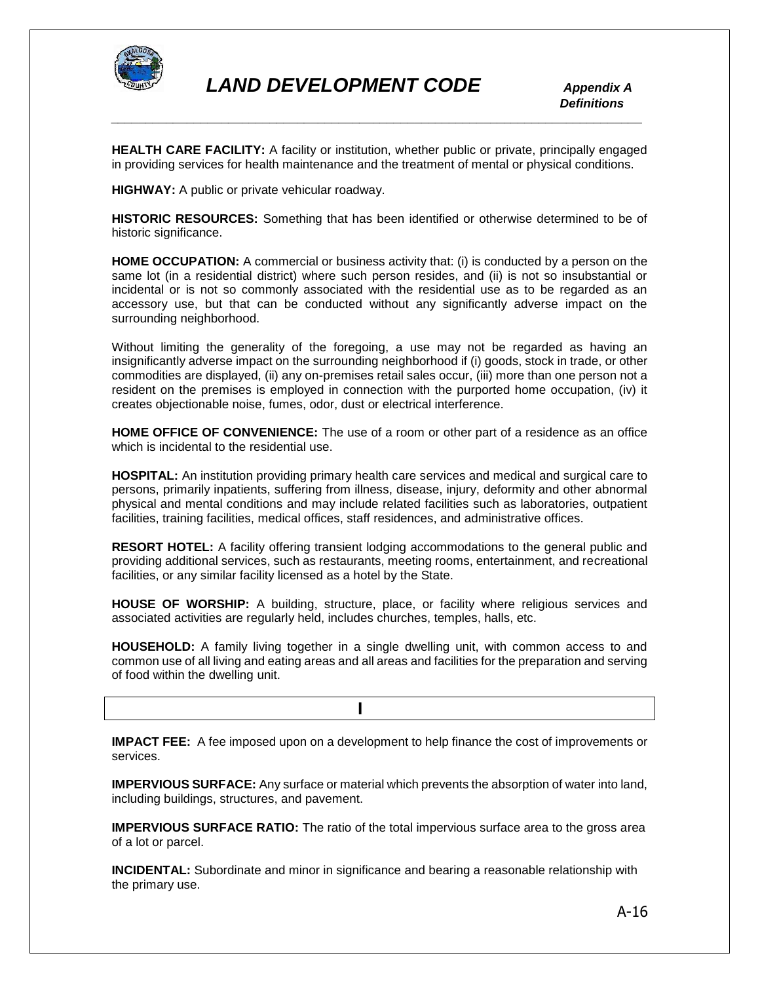

**HEALTH CARE FACILITY:** A facility or institution, whether public or private, principally engaged in providing services for health maintenance and the treatment of mental or physical conditions.

**HIGHWAY:** A public or private vehicular roadway.

**HISTORIC RESOURCES:** Something that has been identified or otherwise determined to be of historic significance.

**HOME OCCUPATION:** A commercial or business activity that: (i) is conducted by a person on the same lot (in a residential district) where such person resides, and (ii) is not so insubstantial or incidental or is not so commonly associated with the residential use as to be regarded as an accessory use, but that can be conducted without any significantly adverse impact on the surrounding neighborhood.

Without limiting the generality of the foregoing, a use may not be regarded as having an insignificantly adverse impact on the surrounding neighborhood if (i) goods, stock in trade, or other commodities are displayed, (ii) any on-premises retail sales occur, (iii) more than one person not a resident on the premises is employed in connection with the purported home occupation, (iv) it creates objectionable noise, fumes, odor, dust or electrical interference.

**HOME OFFICE OF CONVENIENCE:** The use of a room or other part of a residence as an office which is incidental to the residential use.

**HOSPITAL:** An institution providing primary health care services and medical and surgical care to persons, primarily inpatients, suffering from illness, disease, injury, deformity and other abnormal physical and mental conditions and may include related facilities such as laboratories, outpatient facilities, training facilities, medical offices, staff residences, and administrative offices.

**RESORT HOTEL:** A facility offering transient lodging accommodations to the general public and providing additional services, such as restaurants, meeting rooms, entertainment, and recreational facilities, or any similar facility licensed as a hotel by the State.

**HOUSE OF WORSHIP:** A building, structure, place, or facility where religious services and associated activities are regularly held, includes churches, temples, halls, etc.

**HOUSEHOLD:** A family living together in a single dwelling unit, with common access to and common use of all living and eating areas and all areas and facilities for the preparation and serving of food within the dwelling unit.

**1 I I I I I I** 

**IMPACT FEE:** A fee imposed upon on a development to help finance the cost of improvements or services.

**IMPERVIOUS SURFACE:** Any surface or material which prevents the absorption of water into land, including buildings, structures, and pavement.

**IMPERVIOUS SURFACE RATIO:** The ratio of the total impervious surface area to the gross area of a lot or parcel.

**INCIDENTAL:** Subordinate and minor in significance and bearing a reasonable relationship with the primary use.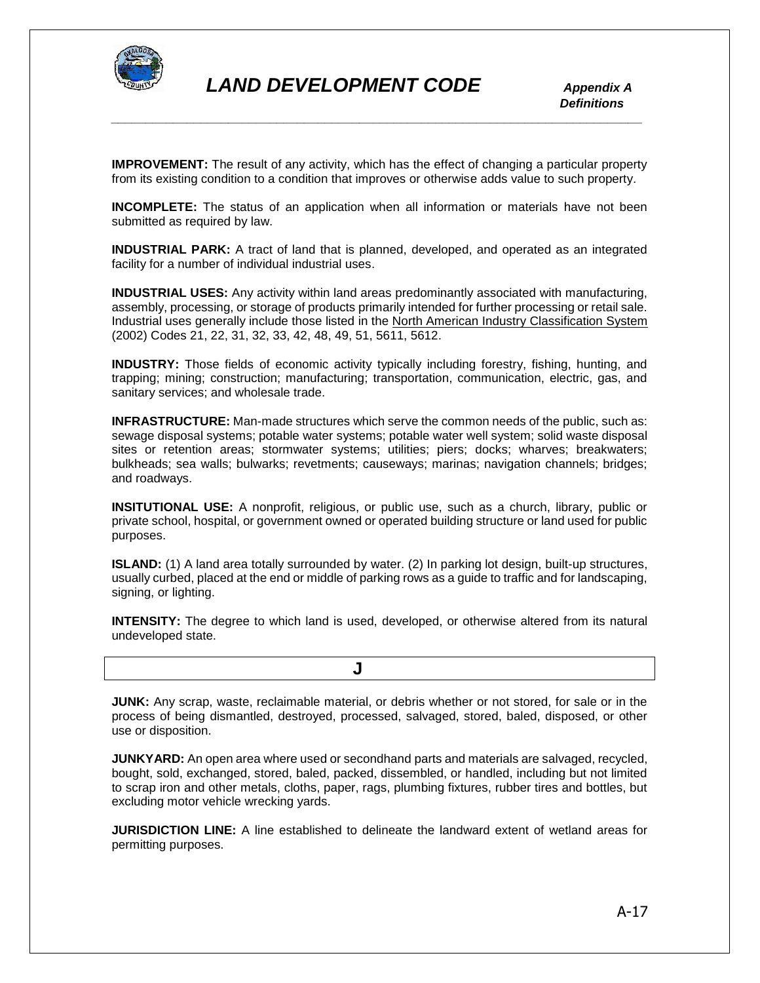

**IMPROVEMENT:** The result of any activity, which has the effect of changing a particular property from its existing condition to a condition that improves or otherwise adds value to such property.

*\_\_\_\_\_\_\_\_\_\_\_\_\_\_\_\_\_\_\_\_\_\_\_\_\_\_\_\_\_\_\_\_\_\_\_\_\_\_\_\_\_\_\_\_\_\_\_\_\_\_\_\_\_\_\_\_\_\_\_\_\_\_\_\_\_\_\_\_\_\_\_\_\_\_\_\_\_*

**INCOMPLETE:** The status of an application when all information or materials have not been submitted as required by law.

**INDUSTRIAL PARK:** A tract of land that is planned, developed, and operated as an integrated facility for a number of individual industrial uses.

**INDUSTRIAL USES:** Any activity within land areas predominantly associated with manufacturing, assembly, processing, or storage of products primarily intended for further processing or retail sale. Industrial uses generally include those listed in the North American Industry Classification System (2002) Codes 21, 22, 31, 32, 33, 42, 48, 49, 51, 5611, 5612.

**INDUSTRY:** Those fields of economic activity typically including forestry, fishing, hunting, and trapping; mining; construction; manufacturing; transportation, communication, electric, gas, and sanitary services; and wholesale trade.

**INFRASTRUCTURE:** Man-made structures which serve the common needs of the public, such as: sewage disposal systems; potable water systems; potable water well system; solid waste disposal sites or retention areas; stormwater systems; utilities; piers; docks; wharves; breakwaters; bulkheads; sea walls; bulwarks; revetments; causeways; marinas; navigation channels; bridges; and roadways.

**INSITUTIONAL USE:** A nonprofit, religious, or public use, such as a church, library, public or private school, hospital, or government owned or operated building structure or land used for public purposes.

**ISLAND:** (1) A land area totally surrounded by water. (2) In parking lot design, built-up structures, usually curbed, placed at the end or middle of parking rows as a guide to traffic and for landscaping, signing, or lighting.

**INTENSITY:** The degree to which land is used, developed, or otherwise altered from its natural undeveloped state.

 **J**

**JUNK:** Any scrap, waste, reclaimable material, or debris whether or not stored, for sale or in the process of being dismantled, destroyed, processed, salvaged, stored, baled, disposed, or other use or disposition.

**JUNKYARD:** An open area where used or secondhand parts and materials are salvaged, recycled, bought, sold, exchanged, stored, baled, packed, dissembled, or handled, including but not limited to scrap iron and other metals, cloths, paper, rags, plumbing fixtures, rubber tires and bottles, but excluding motor vehicle wrecking yards.

**JURISDICTION LINE:** A line established to delineate the landward extent of wetland areas for permitting purposes.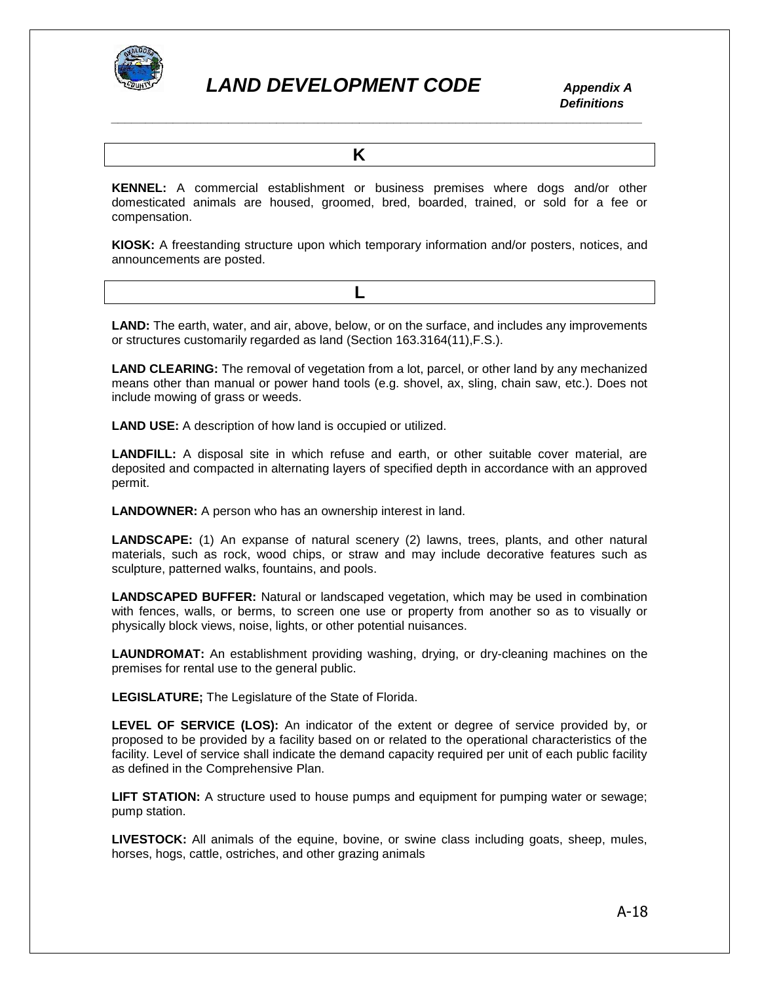

 *Definitions \_\_\_\_\_\_\_\_\_\_\_\_\_\_\_\_\_\_\_\_\_\_\_\_\_\_\_\_\_\_\_\_\_\_\_\_\_\_\_\_\_\_\_\_\_\_\_\_\_\_\_\_\_\_\_\_\_\_\_\_\_\_\_\_\_\_\_\_\_\_\_\_\_\_\_\_\_*

*K* 

**KENNEL:** A commercial establishment or business premises where dogs and/or other domesticated animals are housed, groomed, bred, boarded, trained, or sold for a fee or compensation.

**KIOSK:** A freestanding structure upon which temporary information and/or posters, notices, and announcements are posted.

**LAND:** The earth, water, and air, above, below, or on the surface, and includes any improvements or structures customarily regarded as land (Section 163.3164(11),F.S.).

**LAND CLEARING:** The removal of vegetation from a lot, parcel, or other land by any mechanized means other than manual or power hand tools (e.g. shovel, ax, sling, chain saw, etc.). Does not include mowing of grass or weeds.

**LAND USE:** A description of how land is occupied or utilized.

**L L** 

**LANDFILL:** A disposal site in which refuse and earth, or other suitable cover material, are deposited and compacted in alternating layers of specified depth in accordance with an approved permit.

**LANDOWNER:** A person who has an ownership interest in land.

**LANDSCAPE:** (1) An expanse of natural scenery (2) lawns, trees, plants, and other natural materials, such as rock, wood chips, or straw and may include decorative features such as sculpture, patterned walks, fountains, and pools.

**LANDSCAPED BUFFER:** Natural or landscaped vegetation, which may be used in combination with fences, walls, or berms, to screen one use or property from another so as to visually or physically block views, noise, lights, or other potential nuisances.

**LAUNDROMAT:** An establishment providing washing, drying, or dry-cleaning machines on the premises for rental use to the general public.

**LEGISLATURE;** The Legislature of the State of Florida.

**LEVEL OF SERVICE (LOS):** An indicator of the extent or degree of service provided by, or proposed to be provided by a facility based on or related to the operational characteristics of the facility. Level of service shall indicate the demand capacity required per unit of each public facility as defined in the Comprehensive Plan.

**LIFT STATION:** A structure used to house pumps and equipment for pumping water or sewage; pump station.

**LIVESTOCK:** All animals of the equine, bovine, or swine class including goats, sheep, mules, horses, hogs, cattle, ostriches, and other grazing animals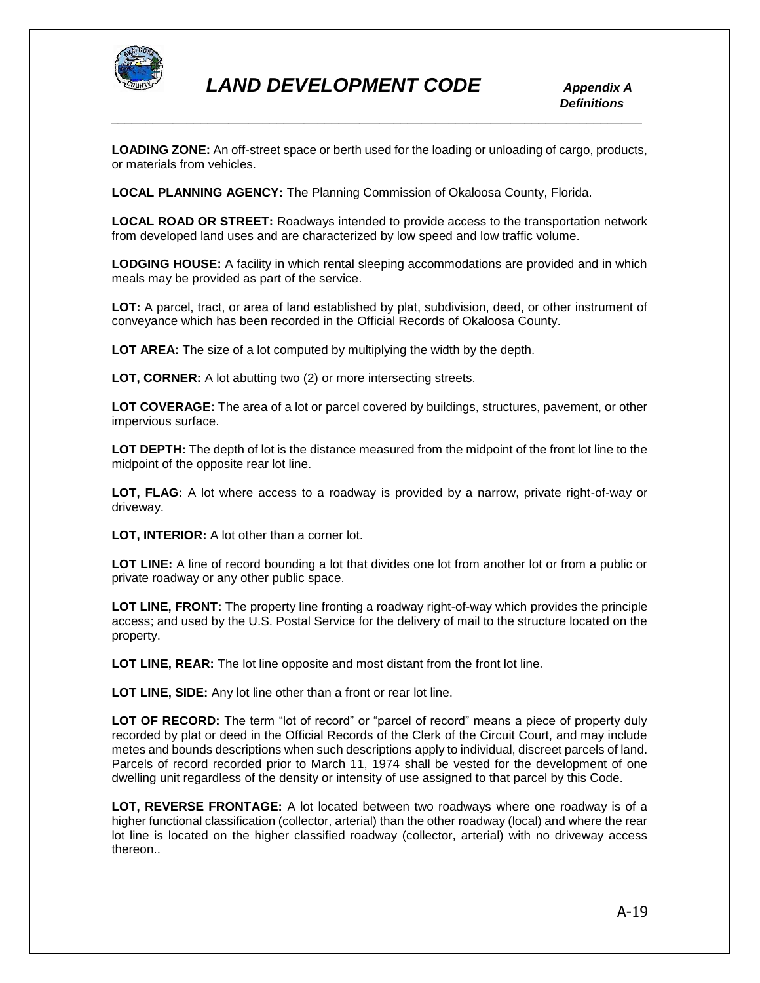

**LOADING ZONE:** An off-street space or berth used for the loading or unloading of cargo, products, or materials from vehicles.

**LOCAL PLANNING AGENCY:** The Planning Commission of Okaloosa County, Florida.

**LOCAL ROAD OR STREET:** Roadways intended to provide access to the transportation network from developed land uses and are characterized by low speed and low traffic volume.

**LODGING HOUSE:** A facility in which rental sleeping accommodations are provided and in which meals may be provided as part of the service.

**LOT:** A parcel, tract, or area of land established by plat, subdivision, deed, or other instrument of conveyance which has been recorded in the Official Records of Okaloosa County.

**LOT AREA:** The size of a lot computed by multiplying the width by the depth.

**LOT, CORNER:** A lot abutting two (2) or more intersecting streets.

**LOT COVERAGE:** The area of a lot or parcel covered by buildings, structures, pavement, or other impervious surface.

**LOT DEPTH:** The depth of lot is the distance measured from the midpoint of the front lot line to the midpoint of the opposite rear lot line.

**LOT, FLAG:** A lot where access to a roadway is provided by a narrow, private right-of-way or driveway.

**LOT, INTERIOR:** A lot other than a corner lot.

**LOT LINE:** A line of record bounding a lot that divides one lot from another lot or from a public or private roadway or any other public space.

**LOT LINE, FRONT:** The property line fronting a roadway right-of-way which provides the principle access; and used by the U.S. Postal Service for the delivery of mail to the structure located on the property.

**LOT LINE, REAR:** The lot line opposite and most distant from the front lot line.

**LOT LINE, SIDE:** Any lot line other than a front or rear lot line.

LOT OF RECORD: The term "lot of record" or "parcel of record" means a piece of property duly recorded by plat or deed in the Official Records of the Clerk of the Circuit Court, and may include metes and bounds descriptions when such descriptions apply to individual, discreet parcels of land. Parcels of record recorded prior to March 11, 1974 shall be vested for the development of one dwelling unit regardless of the density or intensity of use assigned to that parcel by this Code.

**LOT, REVERSE FRONTAGE:** A lot located between two roadways where one roadway is of a higher functional classification (collector, arterial) than the other roadway (local) and where the rear lot line is located on the higher classified roadway (collector, arterial) with no driveway access thereon..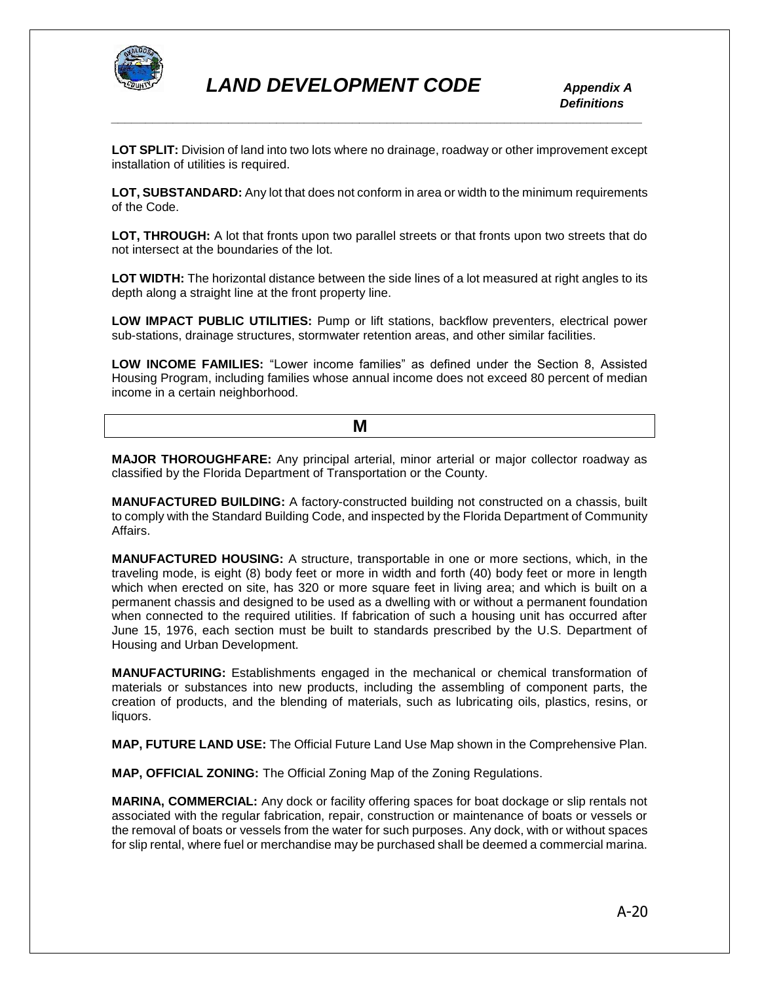

**LOT SPLIT:** Division of land into two lots where no drainage, roadway or other improvement except installation of utilities is required.

*\_\_\_\_\_\_\_\_\_\_\_\_\_\_\_\_\_\_\_\_\_\_\_\_\_\_\_\_\_\_\_\_\_\_\_\_\_\_\_\_\_\_\_\_\_\_\_\_\_\_\_\_\_\_\_\_\_\_\_\_\_\_\_\_\_\_\_\_\_\_\_\_\_\_\_\_\_*

**LOT, SUBSTANDARD:** Any lot that does not conform in area or width to the minimum requirements of the Code.

**LOT, THROUGH:** A lot that fronts upon two parallel streets or that fronts upon two streets that do not intersect at the boundaries of the lot.

**LOT WIDTH:** The horizontal distance between the side lines of a lot measured at right angles to its depth along a straight line at the front property line.

**LOW IMPACT PUBLIC UTILITIES:** Pump or lift stations, backflow preventers, electrical power sub-stations, drainage structures, stormwater retention areas, and other similar facilities.

**LOW INCOME FAMILIES:** "Lower income families" as defined under the Section 8, Assisted Housing Program, including families whose annual income does not exceed 80 percent of median income in a certain neighborhood.

| . |
|---|
|   |

**MAJOR THOROUGHFARE:** Any principal arterial, minor arterial or major collector roadway as classified by the Florida Department of Transportation or the County.

**MANUFACTURED BUILDING:** A factory-constructed building not constructed on a chassis, built to comply with the Standard Building Code, and inspected by the Florida Department of Community Affairs.

**MANUFACTURED HOUSING:** A structure, transportable in one or more sections, which, in the traveling mode, is eight (8) body feet or more in width and forth (40) body feet or more in length which when erected on site, has 320 or more square feet in living area; and which is built on a permanent chassis and designed to be used as a dwelling with or without a permanent foundation when connected to the required utilities. If fabrication of such a housing unit has occurred after June 15, 1976, each section must be built to standards prescribed by the U.S. Department of Housing and Urban Development.

**MANUFACTURING:** Establishments engaged in the mechanical or chemical transformation of materials or substances into new products, including the assembling of component parts, the creation of products, and the blending of materials, such as lubricating oils, plastics, resins, or liquors.

**MAP, FUTURE LAND USE:** The Official Future Land Use Map shown in the Comprehensive Plan.

**MAP, OFFICIAL ZONING:** The Official Zoning Map of the Zoning Regulations.

**MARINA, COMMERCIAL:** Any dock or facility offering spaces for boat dockage or slip rentals not associated with the regular fabrication, repair, construction or maintenance of boats or vessels or the removal of boats or vessels from the water for such purposes. Any dock, with or without spaces for slip rental, where fuel or merchandise may be purchased shall be deemed a commercial marina.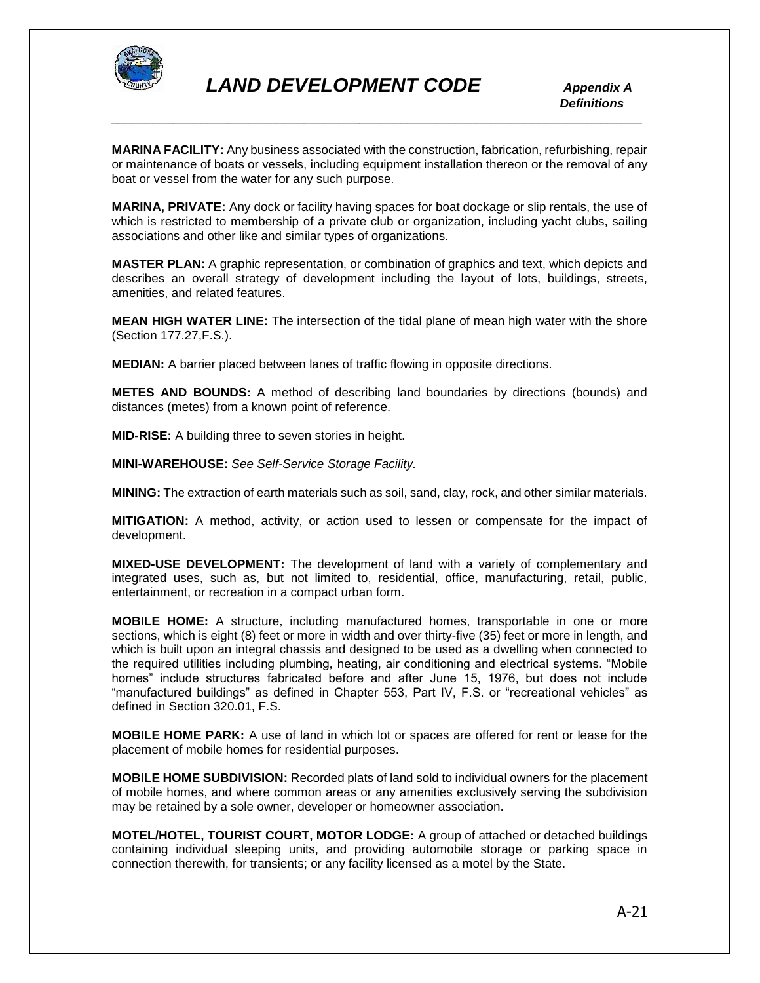

**MARINA FACILITY:** Any business associated with the construction, fabrication, refurbishing, repair or maintenance of boats or vessels, including equipment installation thereon or the removal of any boat or vessel from the water for any such purpose.

**MARINA, PRIVATE:** Any dock or facility having spaces for boat dockage or slip rentals, the use of which is restricted to membership of a private club or organization, including yacht clubs, sailing associations and other like and similar types of organizations.

**MASTER PLAN:** A graphic representation, or combination of graphics and text, which depicts and describes an overall strategy of development including the layout of lots, buildings, streets, amenities, and related features.

**MEAN HIGH WATER LINE:** The intersection of the tidal plane of mean high water with the shore (Section 177.27,F.S.).

**MEDIAN:** A barrier placed between lanes of traffic flowing in opposite directions.

**METES AND BOUNDS:** A method of describing land boundaries by directions (bounds) and distances (metes) from a known point of reference.

**MID-RISE:** A building three to seven stories in height.

**MINI-WAREHOUSE:** *See Self-Service Storage Facility.*

**MINING:** The extraction of earth materials such as soil, sand, clay, rock, and other similar materials.

**MITIGATION:** A method, activity, or action used to lessen or compensate for the impact of development.

**MIXED-USE DEVELOPMENT:** The development of land with a variety of complementary and integrated uses, such as, but not limited to, residential, office, manufacturing, retail, public, entertainment, or recreation in a compact urban form.

**MOBILE HOME:** A structure, including manufactured homes, transportable in one or more sections, which is eight (8) feet or more in width and over thirty-five (35) feet or more in length, and which is built upon an integral chassis and designed to be used as a dwelling when connected to the required utilities including plumbing, heating, air conditioning and electrical systems. "Mobile homes" include structures fabricated before and after June 15, 1976, but does not include "manufactured buildings" as defined in Chapter 553, Part IV, F.S. or "recreational vehicles" as defined in Section 320.01, F.S.

**MOBILE HOME PARK:** A use of land in which lot or spaces are offered for rent or lease for the placement of mobile homes for residential purposes.

**MOBILE HOME SUBDIVISION:** Recorded plats of land sold to individual owners for the placement of mobile homes, and where common areas or any amenities exclusively serving the subdivision may be retained by a sole owner, developer or homeowner association.

**MOTEL/HOTEL, TOURIST COURT, MOTOR LODGE:** A group of attached or detached buildings containing individual sleeping units, and providing automobile storage or parking space in connection therewith, for transients; or any facility licensed as a motel by the State.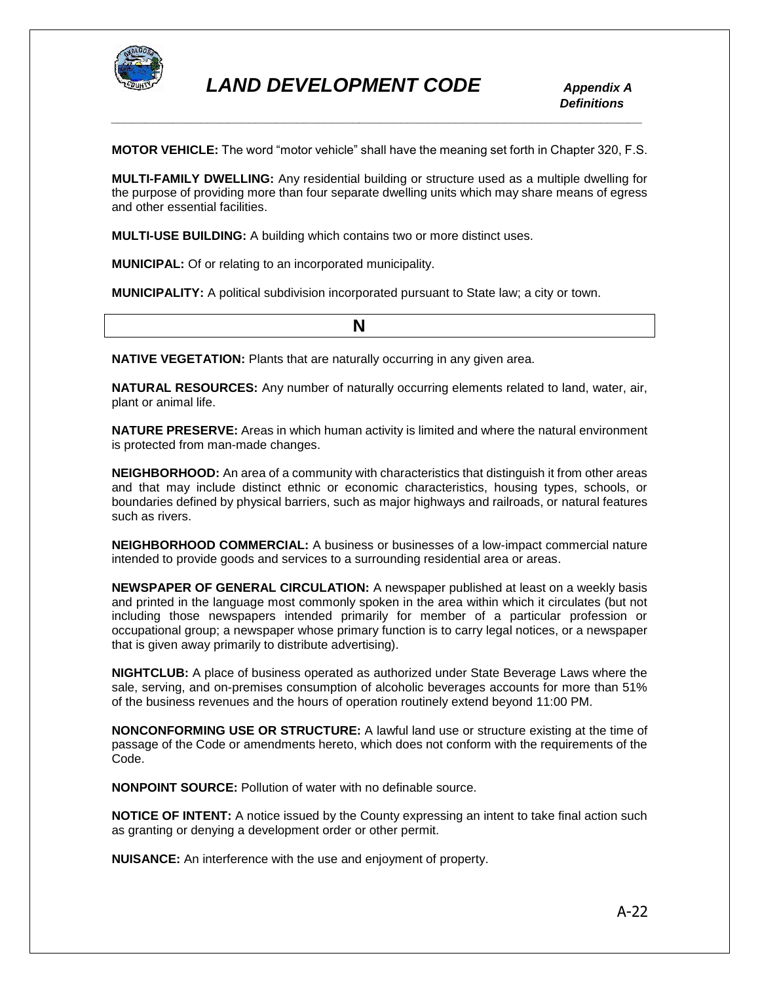

**MOTOR VEHICLE:** The word "motor vehicle" shall have the meaning set forth in Chapter 320, F.S.

**MULTI-FAMILY DWELLING:** Any residential building or structure used as a multiple dwelling for the purpose of providing more than four separate dwelling units which may share means of egress and other essential facilities.

**MULTI-USE BUILDING:** A building which contains two or more distinct uses.

**MUNICIPAL:** Of or relating to an incorporated municipality.

**MUNICIPALITY:** A political subdivision incorporated pursuant to State law; a city or town.

**NATIVE VEGETATION:** Plants that are naturally occurring in any given area.

**NATURAL RESOURCES:** Any number of naturally occurring elements related to land, water, air, plant or animal life.

**NATURE PRESERVE:** Areas in which human activity is limited and where the natural environment is protected from man-made changes.

**NEIGHBORHOOD:** An area of a community with characteristics that distinguish it from other areas and that may include distinct ethnic or economic characteristics, housing types, schools, or boundaries defined by physical barriers, such as major highways and railroads, or natural features such as rivers.

**NEIGHBORHOOD COMMERCIAL:** A business or businesses of a low-impact commercial nature intended to provide goods and services to a surrounding residential area or areas.

**NEWSPAPER OF GENERAL CIRCULATION:** A newspaper published at least on a weekly basis and printed in the language most commonly spoken in the area within which it circulates (but not including those newspapers intended primarily for member of a particular profession or occupational group; a newspaper whose primary function is to carry legal notices, or a newspaper that is given away primarily to distribute advertising).

**NIGHTCLUB:** A place of business operated as authorized under State Beverage Laws where the sale, serving, and on-premises consumption of alcoholic beverages accounts for more than 51% of the business revenues and the hours of operation routinely extend beyond 11:00 PM.

**NONCONFORMING USE OR STRUCTURE:** A lawful land use or structure existing at the time of passage of the Code or amendments hereto, which does not conform with the requirements of the Code.

**NONPOINT SOURCE:** Pollution of water with no definable source.

**NOTICE OF INTENT:** A notice issued by the County expressing an intent to take final action such as granting or denying a development order or other permit.

**NUISANCE:** An interference with the use and enjoyment of property.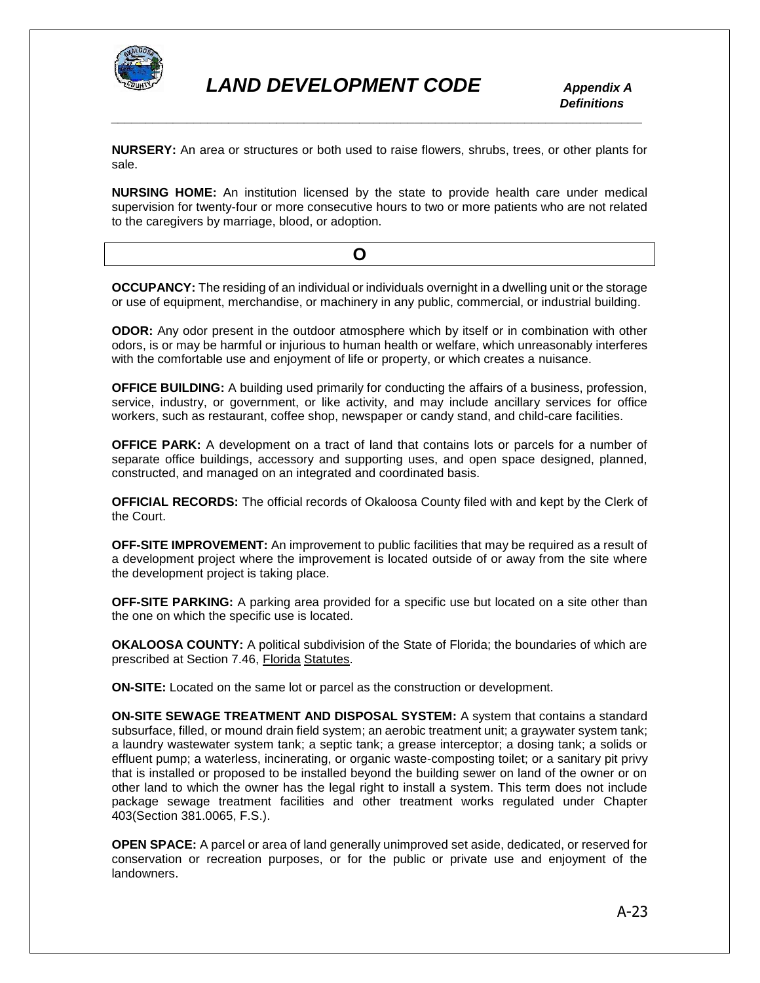

 *Definitions*

**NURSERY:** An area or structures or both used to raise flowers, shrubs, trees, or other plants for sale.

*\_\_\_\_\_\_\_\_\_\_\_\_\_\_\_\_\_\_\_\_\_\_\_\_\_\_\_\_\_\_\_\_\_\_\_\_\_\_\_\_\_\_\_\_\_\_\_\_\_\_\_\_\_\_\_\_\_\_\_\_\_\_\_\_\_\_\_\_\_\_\_\_\_\_\_\_\_*

**NURSING HOME:** An institution licensed by the state to provide health care under medical supervision for twenty-four or more consecutive hours to two or more patients who are not related to the caregivers by marriage, blood, or adoption.

**OCCUPANCY:** The residing of an individual or individuals overnight in a dwelling unit or the storage or use of equipment, merchandise, or machinery in any public, commercial, or industrial building.

**ODOR:** Any odor present in the outdoor atmosphere which by itself or in combination with other odors, is or may be harmful or injurious to human health or welfare, which unreasonably interferes with the comfortable use and enjoyment of life or property, or which creates a nuisance.

**OFFICE BUILDING:** A building used primarily for conducting the affairs of a business, profession, service, industry, or government, or like activity, and may include ancillary services for office workers, such as restaurant, coffee shop, newspaper or candy stand, and child-care facilities.

**OFFICE PARK:** A development on a tract of land that contains lots or parcels for a number of separate office buildings, accessory and supporting uses, and open space designed, planned, constructed, and managed on an integrated and coordinated basis.

**OFFICIAL RECORDS:** The official records of Okaloosa County filed with and kept by the Clerk of the Court.

**OFF-SITE IMPROVEMENT:** An improvement to public facilities that may be required as a result of a development project where the improvement is located outside of or away from the site where the development project is taking place.

**OFF-SITE PARKING:** A parking area provided for a specific use but located on a site other than the one on which the specific use is located.

**OKALOOSA COUNTY:** A political subdivision of the State of Florida; the boundaries of which are prescribed at Section 7.46, Florida Statutes.

**ON-SITE:** Located on the same lot or parcel as the construction or development.

**ON-SITE SEWAGE TREATMENT AND DISPOSAL SYSTEM:** A system that contains a standard subsurface, filled, or mound drain field system; an aerobic treatment unit; a graywater system tank; a laundry wastewater system tank; a septic tank; a grease interceptor; a dosing tank; a solids or effluent pump; a waterless, incinerating, or organic waste-composting toilet; or a sanitary pit privy that is installed or proposed to be installed beyond the building sewer on land of the owner or on other land to which the owner has the legal right to install a system. This term does not include package sewage treatment facilities and other treatment works regulated under Chapter 403(Section 381.0065, F.S.).

**OPEN SPACE:** A parcel or area of land generally unimproved set aside, dedicated, or reserved for conservation or recreation purposes, or for the public or private use and enjoyment of the landowners.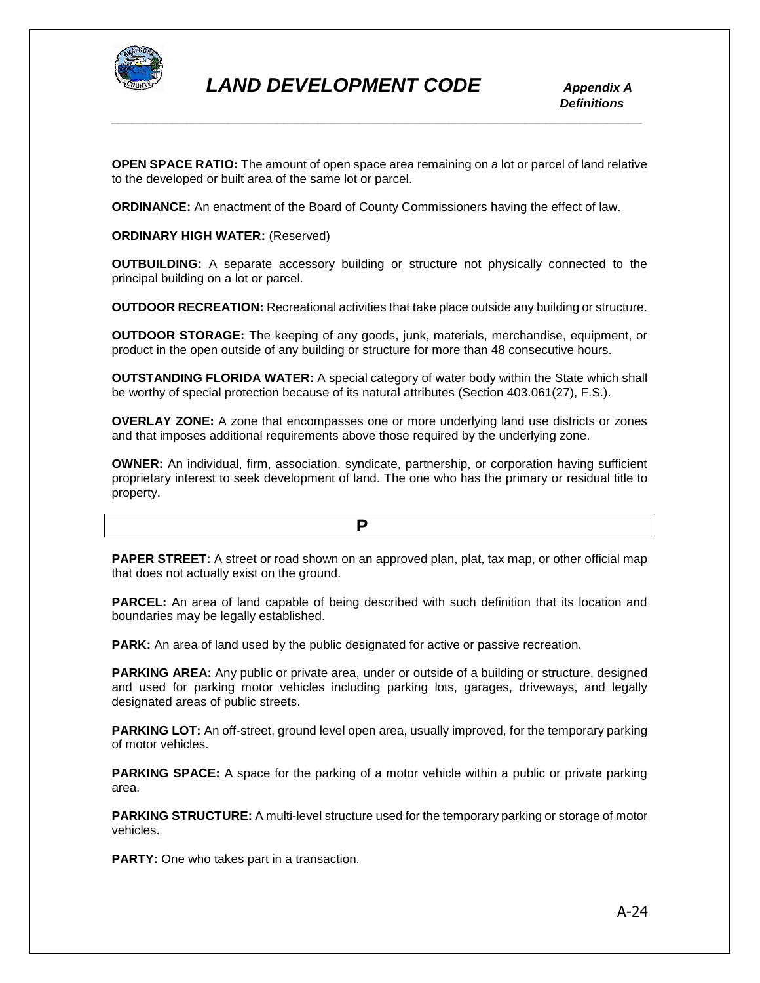

**OPEN SPACE RATIO:** The amount of open space area remaining on a lot or parcel of land relative to the developed or built area of the same lot or parcel.

*\_\_\_\_\_\_\_\_\_\_\_\_\_\_\_\_\_\_\_\_\_\_\_\_\_\_\_\_\_\_\_\_\_\_\_\_\_\_\_\_\_\_\_\_\_\_\_\_\_\_\_\_\_\_\_\_\_\_\_\_\_\_\_\_\_\_\_\_\_\_\_\_\_\_\_\_\_*

**ORDINANCE:** An enactment of the Board of County Commissioners having the effect of law.

**ORDINARY HIGH WATER:** (Reserved)

**OUTBUILDING:** A separate accessory building or structure not physically connected to the principal building on a lot or parcel.

**OUTDOOR RECREATION:** Recreational activities that take place outside any building or structure.

**OUTDOOR STORAGE:** The keeping of any goods, junk, materials, merchandise, equipment, or product in the open outside of any building or structure for more than 48 consecutive hours.

**OUTSTANDING FLORIDA WATER:** A special category of water body within the State which shall be worthy of special protection because of its natural attributes (Section 403.061(27), F.S.).

**OVERLAY ZONE:** A zone that encompasses one or more underlying land use districts or zones and that imposes additional requirements above those required by the underlying zone.

**OWNER:** An individual, firm, association, syndicate, partnership, or corporation having sufficient proprietary interest to seek development of land. The one who has the primary or residual title to property.

**PAPER STREET:** A street or road shown on an approved plan, plat, tax map, or other official map that does not actually exist on the ground.

**PARCEL:** An area of land capable of being described with such definition that its location and boundaries may be legally established.

**PARK:** An area of land used by the public designated for active or passive recreation.

**PARKING AREA:** Any public or private area, under or outside of a building or structure, designed and used for parking motor vehicles including parking lots, garages, driveways, and legally designated areas of public streets.

**PARKING LOT:** An off-street, ground level open area, usually improved, for the temporary parking of motor vehicles.

**PARKING SPACE:** A space for the parking of a motor vehicle within a public or private parking area.

**PARKING STRUCTURE:** A multi-level structure used for the temporary parking or storage of motor vehicles.

**PARTY:** One who takes part in a transaction.

*P* **P**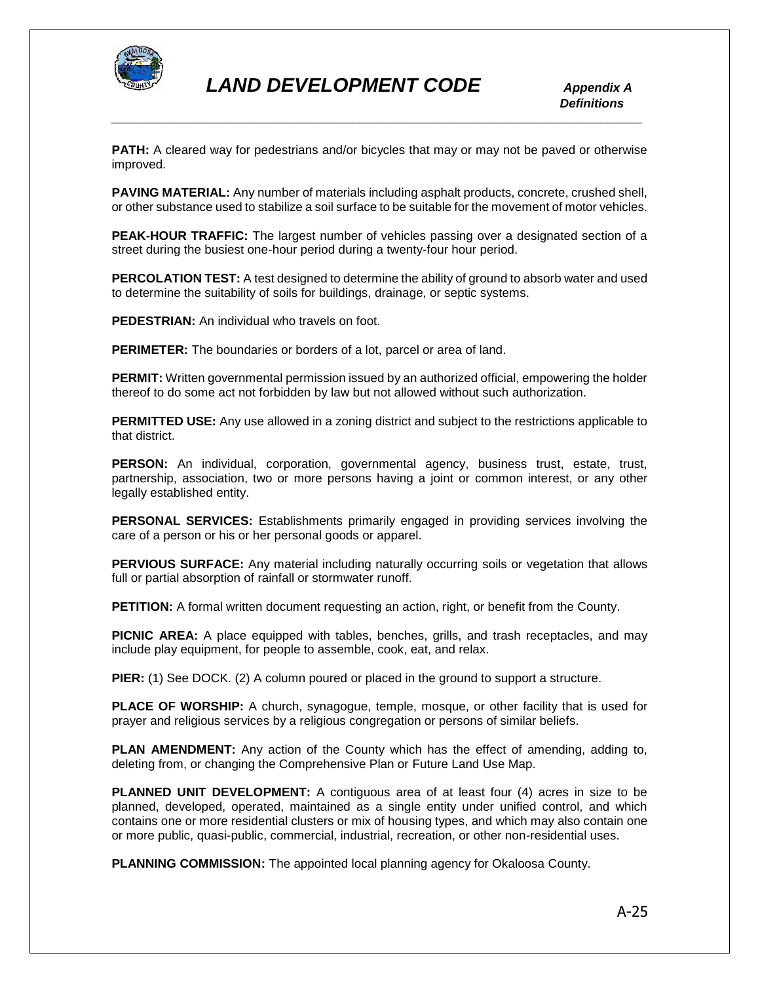

**PATH:** A cleared way for pedestrians and/or bicycles that may or may not be paved or otherwise improved.

**PAVING MATERIAL:** Any number of materials including asphalt products, concrete, crushed shell, or other substance used to stabilize a soil surface to be suitable for the movement of motor vehicles.

**PEAK-HOUR TRAFFIC:** The largest number of vehicles passing over a designated section of a street during the busiest one-hour period during a twenty-four hour period.

**PERCOLATION TEST:** A test designed to determine the ability of ground to absorb water and used to determine the suitability of soils for buildings, drainage, or septic systems.

**PEDESTRIAN:** An individual who travels on foot.

**PERIMETER:** The boundaries or borders of a lot, parcel or area of land.

**PERMIT:** Written governmental permission issued by an authorized official, empowering the holder thereof to do some act not forbidden by law but not allowed without such authorization.

**PERMITTED USE:** Any use allowed in a zoning district and subject to the restrictions applicable to that district.

**PERSON:** An individual, corporation, governmental agency, business trust, estate, trust, partnership, association, two or more persons having a joint or common interest, or any other legally established entity.

**PERSONAL SERVICES:** Establishments primarily engaged in providing services involving the care of a person or his or her personal goods or apparel.

**PERVIOUS SURFACE:** Any material including naturally occurring soils or vegetation that allows full or partial absorption of rainfall or stormwater runoff.

**PETITION:** A formal written document requesting an action, right, or benefit from the County.

**PICNIC AREA:** A place equipped with tables, benches, grills, and trash receptacles, and may include play equipment, for people to assemble, cook, eat, and relax.

**PIER:** (1) See DOCK. (2) A column poured or placed in the ground to support a structure.

**PLACE OF WORSHIP:** A church, synagogue, temple, mosque, or other facility that is used for prayer and religious services by a religious congregation or persons of similar beliefs.

**PLAN AMENDMENT:** Any action of the County which has the effect of amending, adding to, deleting from, or changing the Comprehensive Plan or Future Land Use Map.

**PLANNED UNIT DEVELOPMENT:** A contiguous area of at least four (4) acres in size to be planned, developed, operated, maintained as a single entity under unified control, and which contains one or more residential clusters or mix of housing types, and which may also contain one or more public, quasi-public, commercial, industrial, recreation, or other non-residential uses.

**PLANNING COMMISSION:** The appointed local planning agency for Okaloosa County.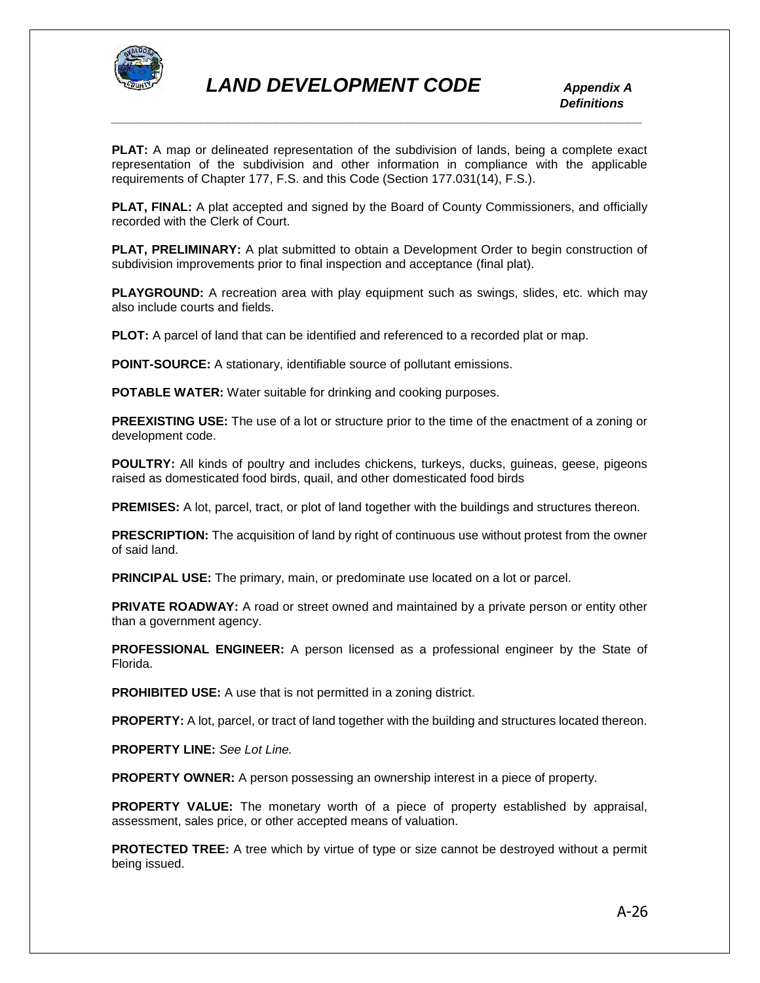

**PLAT:** A map or delineated representation of the subdivision of lands, being a complete exact representation of the subdivision and other information in compliance with the applicable requirements of Chapter 177, F.S. and this Code (Section 177.031(14), F.S.).

**PLAT, FINAL:** A plat accepted and signed by the Board of County Commissioners, and officially recorded with the Clerk of Court.

**PLAT, PRELIMINARY:** A plat submitted to obtain a Development Order to begin construction of subdivision improvements prior to final inspection and acceptance (final plat).

**PLAYGROUND:** A recreation area with play equipment such as swings, slides, etc. which may also include courts and fields.

**PLOT:** A parcel of land that can be identified and referenced to a recorded plat or map.

**POINT-SOURCE:** A stationary, identifiable source of pollutant emissions.

**POTABLE WATER:** Water suitable for drinking and cooking purposes.

**PREEXISTING USE:** The use of a lot or structure prior to the time of the enactment of a zoning or development code.

**POULTRY:** All kinds of poultry and includes chickens, turkeys, ducks, guineas, geese, pigeons raised as domesticated food birds, quail, and other domesticated food birds

**PREMISES:** A lot, parcel, tract, or plot of land together with the buildings and structures thereon.

**PRESCRIPTION:** The acquisition of land by right of continuous use without protest from the owner of said land.

**PRINCIPAL USE:** The primary, main, or predominate use located on a lot or parcel.

**PRIVATE ROADWAY:** A road or street owned and maintained by a private person or entity other than a government agency.

**PROFESSIONAL ENGINEER:** A person licensed as a professional engineer by the State of Florida.

**PROHIBITED USE:** A use that is not permitted in a zoning district.

**PROPERTY:** A lot, parcel, or tract of land together with the building and structures located thereon.

**PROPERTY LINE:** *See Lot Line.*

**PROPERTY OWNER:** A person possessing an ownership interest in a piece of property.

**PROPERTY VALUE:** The monetary worth of a piece of property established by appraisal, assessment, sales price, or other accepted means of valuation.

**PROTECTED TREE:** A tree which by virtue of type or size cannot be destroyed without a permit being issued.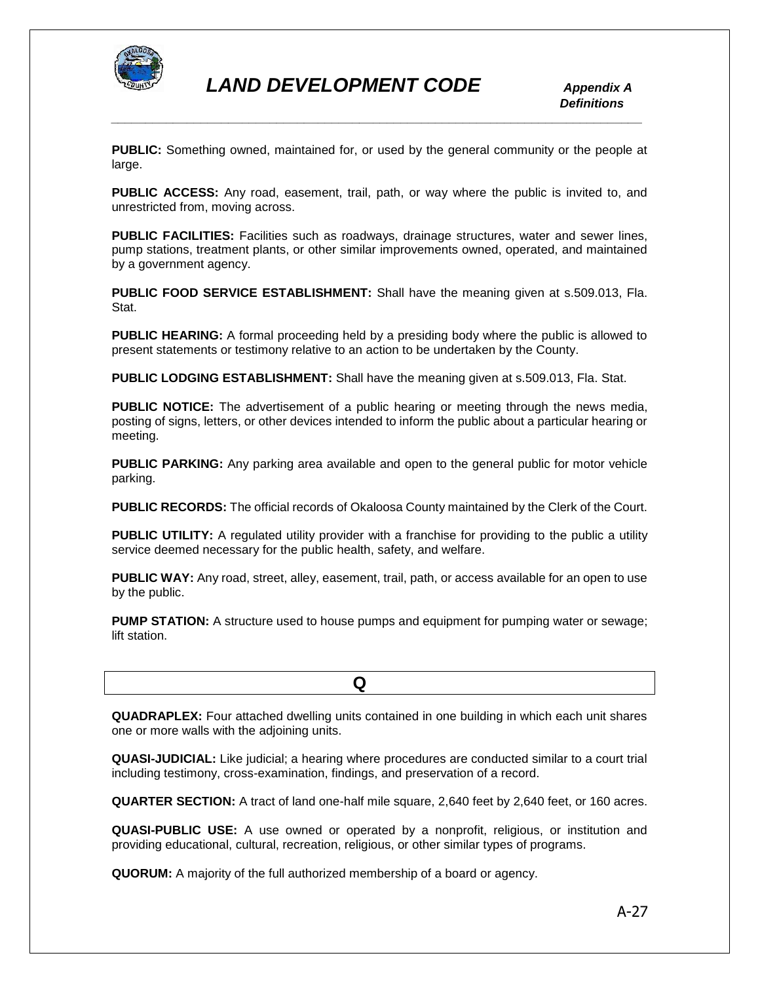

 *Definitions*

**PUBLIC:** Something owned, maintained for, or used by the general community or the people at large.

*\_\_\_\_\_\_\_\_\_\_\_\_\_\_\_\_\_\_\_\_\_\_\_\_\_\_\_\_\_\_\_\_\_\_\_\_\_\_\_\_\_\_\_\_\_\_\_\_\_\_\_\_\_\_\_\_\_\_\_\_\_\_\_\_\_\_\_\_\_\_\_\_\_\_\_\_\_*

**PUBLIC ACCESS:** Any road, easement, trail, path, or way where the public is invited to, and unrestricted from, moving across.

**PUBLIC FACILITIES:** Facilities such as roadways, drainage structures, water and sewer lines, pump stations, treatment plants, or other similar improvements owned, operated, and maintained by a government agency.

**PUBLIC FOOD SERVICE ESTABLISHMENT:** Shall have the meaning given at s.509.013, Fla. Stat.

**PUBLIC HEARING:** A formal proceeding held by a presiding body where the public is allowed to present statements or testimony relative to an action to be undertaken by the County.

**PUBLIC LODGING ESTABLISHMENT:** Shall have the meaning given at s.509.013, Fla. Stat.

**PUBLIC NOTICE:** The advertisement of a public hearing or meeting through the news media, posting of signs, letters, or other devices intended to inform the public about a particular hearing or meeting.

**PUBLIC PARKING:** Any parking area available and open to the general public for motor vehicle parking.

**PUBLIC RECORDS:** The official records of Okaloosa County maintained by the Clerk of the Court.

**PUBLIC UTILITY:** A regulated utility provider with a franchise for providing to the public a utility service deemed necessary for the public health, safety, and welfare.

**PUBLIC WAY:** Any road, street, alley, easement, trail, path, or access available for an open to use by the public.

**PUMP STATION:** A structure used to house pumps and equipment for pumping water or sewage; lift station.

**QUADRAPLEX:** Four attached dwelling units contained in one building in which each unit shares one or more walls with the adjoining units.

**QUASI-JUDICIAL:** Like judicial; a hearing where procedures are conducted similar to a court trial including testimony, cross-examination, findings, and preservation of a record.

**QUARTER SECTION:** A tract of land one-half mile square, 2,640 feet by 2,640 feet, or 160 acres.

**QUASI-PUBLIC USE:** A use owned or operated by a nonprofit, religious, or institution and providing educational, cultural, recreation, religious, or other similar types of programs.

**QUORUM:** A majority of the full authorized membership of a board or agency.

 **Q**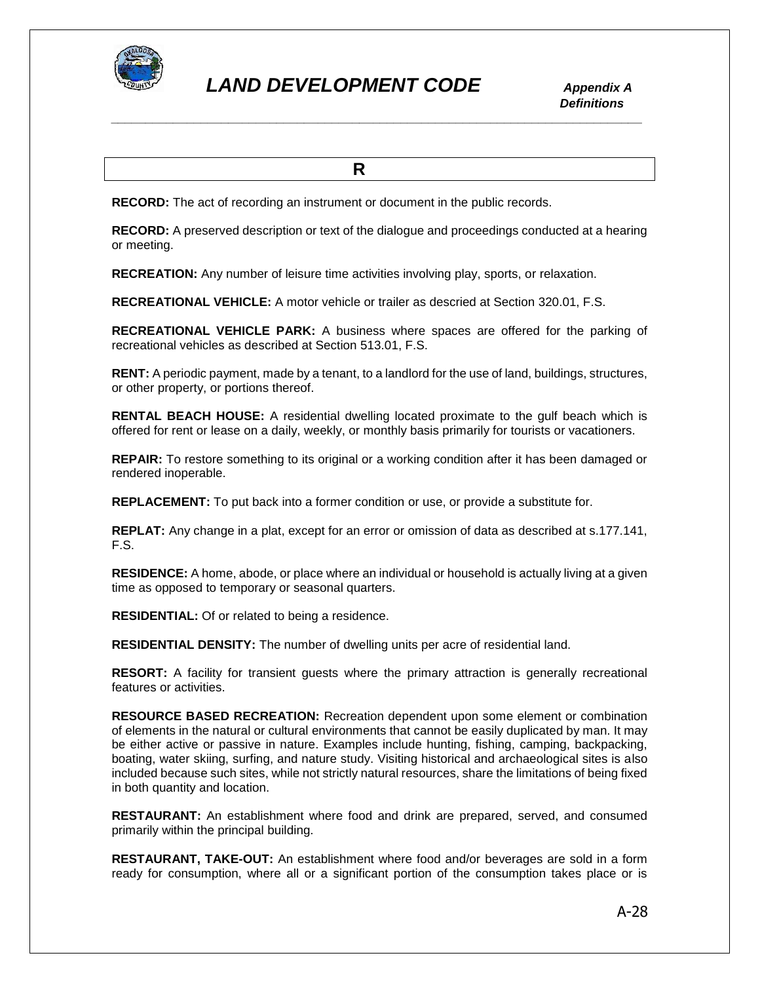

**R R R** 

**RECORD:** The act of recording an instrument or document in the public records.

**RECORD:** A preserved description or text of the dialogue and proceedings conducted at a hearing or meeting.

**RECREATION:** Any number of leisure time activities involving play, sports, or relaxation.

**RECREATIONAL VEHICLE:** A motor vehicle or trailer as descried at Section 320.01, F.S.

**RECREATIONAL VEHICLE PARK:** A business where spaces are offered for the parking of recreational vehicles as described at Section 513.01, F.S.

**RENT:** A periodic payment, made by a tenant, to a landlord for the use of land, buildings, structures, or other property, or portions thereof.

**RENTAL BEACH HOUSE:** A residential dwelling located proximate to the gulf beach which is offered for rent or lease on a daily, weekly, or monthly basis primarily for tourists or vacationers.

**REPAIR:** To restore something to its original or a working condition after it has been damaged or rendered inoperable.

**REPLACEMENT:** To put back into a former condition or use, or provide a substitute for.

**REPLAT:** Any change in a plat, except for an error or omission of data as described at s.177.141, F.S.

**RESIDENCE:** A home, abode, or place where an individual or household is actually living at a given time as opposed to temporary or seasonal quarters.

**RESIDENTIAL:** Of or related to being a residence.

**RESIDENTIAL DENSITY:** The number of dwelling units per acre of residential land.

**RESORT:** A facility for transient guests where the primary attraction is generally recreational features or activities.

**RESOURCE BASED RECREATION:** Recreation dependent upon some element or combination of elements in the natural or cultural environments that cannot be easily duplicated by man. It may be either active or passive in nature. Examples include hunting, fishing, camping, backpacking, boating, water skiing, surfing, and nature study. Visiting historical and archaeological sites is also included because such sites, while not strictly natural resources, share the limitations of being fixed in both quantity and location.

**RESTAURANT:** An establishment where food and drink are prepared, served, and consumed primarily within the principal building.

**RESTAURANT, TAKE-OUT:** An establishment where food and/or beverages are sold in a form ready for consumption, where all or a significant portion of the consumption takes place or is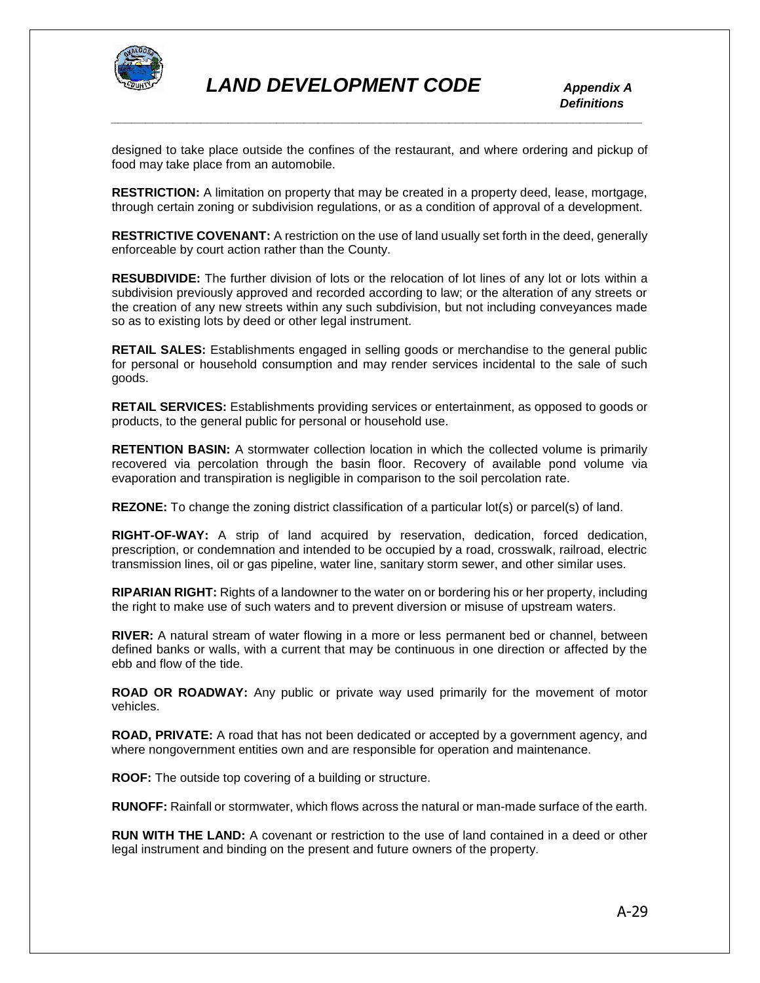

 *Definitions*

designed to take place outside the confines of the restaurant, and where ordering and pickup of food may take place from an automobile.

*\_\_\_\_\_\_\_\_\_\_\_\_\_\_\_\_\_\_\_\_\_\_\_\_\_\_\_\_\_\_\_\_\_\_\_\_\_\_\_\_\_\_\_\_\_\_\_\_\_\_\_\_\_\_\_\_\_\_\_\_\_\_\_\_\_\_\_\_\_\_\_\_\_\_\_\_\_*

**RESTRICTION:** A limitation on property that may be created in a property deed, lease, mortgage, through certain zoning or subdivision regulations, or as a condition of approval of a development.

**RESTRICTIVE COVENANT:** A restriction on the use of land usually set forth in the deed, generally enforceable by court action rather than the County.

**RESUBDIVIDE:** The further division of lots or the relocation of lot lines of any lot or lots within a subdivision previously approved and recorded according to law; or the alteration of any streets or the creation of any new streets within any such subdivision, but not including conveyances made so as to existing lots by deed or other legal instrument.

**RETAIL SALES:** Establishments engaged in selling goods or merchandise to the general public for personal or household consumption and may render services incidental to the sale of such goods.

**RETAIL SERVICES:** Establishments providing services or entertainment, as opposed to goods or products, to the general public for personal or household use.

**RETENTION BASIN:** A stormwater collection location in which the collected volume is primarily recovered via percolation through the basin floor. Recovery of available pond volume via evaporation and transpiration is negligible in comparison to the soil percolation rate.

**REZONE:** To change the zoning district classification of a particular lot(s) or parcel(s) of land.

**RIGHT-OF-WAY:** A strip of land acquired by reservation, dedication, forced dedication, prescription, or condemnation and intended to be occupied by a road, crosswalk, railroad, electric transmission lines, oil or gas pipeline, water line, sanitary storm sewer, and other similar uses.

**RIPARIAN RIGHT:** Rights of a landowner to the water on or bordering his or her property, including the right to make use of such waters and to prevent diversion or misuse of upstream waters.

**RIVER:** A natural stream of water flowing in a more or less permanent bed or channel, between defined banks or walls, with a current that may be continuous in one direction or affected by the ebb and flow of the tide.

**ROAD OR ROADWAY:** Any public or private way used primarily for the movement of motor vehicles.

**ROAD, PRIVATE:** A road that has not been dedicated or accepted by a government agency, and where nongovernment entities own and are responsible for operation and maintenance.

**ROOF:** The outside top covering of a building or structure.

**RUNOFF:** Rainfall or stormwater, which flows across the natural or man-made surface of the earth.

**RUN WITH THE LAND:** A covenant or restriction to the use of land contained in a deed or other legal instrument and binding on the present and future owners of the property.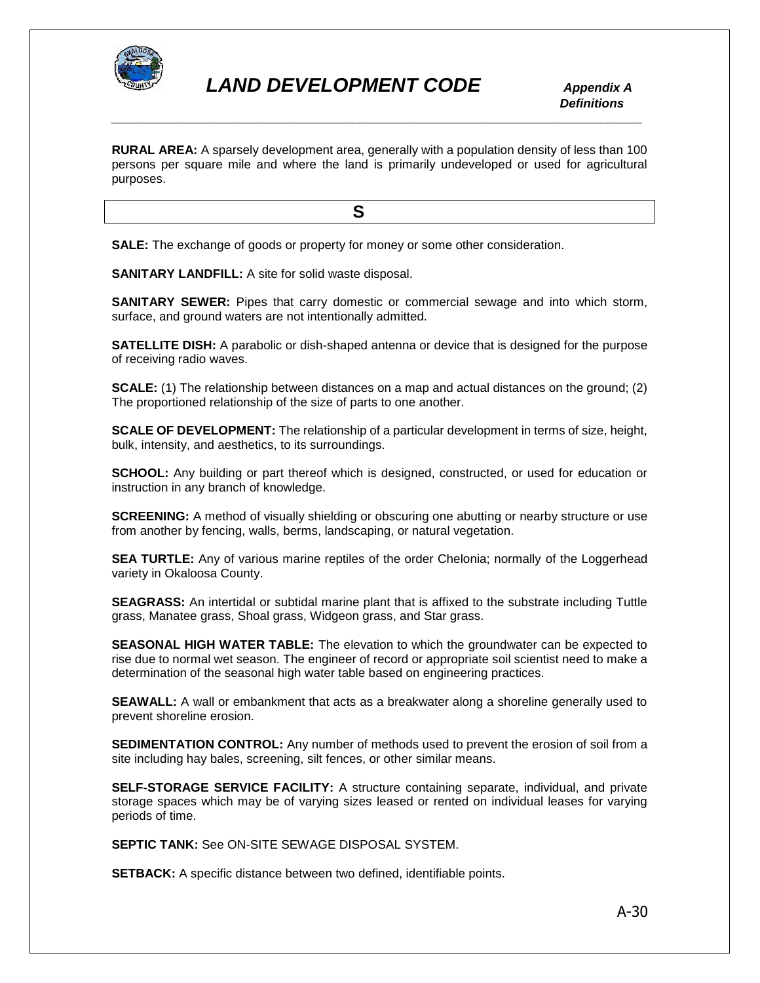

**RURAL AREA:** A sparsely development area, generally with a population density of less than 100 persons per square mile and where the land is primarily undeveloped or used for agricultural purposes.

**SALE:** The exchange of goods or property for money or some other consideration.

**SANITARY LANDFILL:** A site for solid waste disposal.

**S S** 

**SANITARY SEWER:** Pipes that carry domestic or commercial sewage and into which storm, surface, and ground waters are not intentionally admitted.

**SATELLITE DISH:** A parabolic or dish-shaped antenna or device that is designed for the purpose of receiving radio waves.

**SCALE:** (1) The relationship between distances on a map and actual distances on the ground; (2) The proportioned relationship of the size of parts to one another.

**SCALE OF DEVELOPMENT:** The relationship of a particular development in terms of size, height, bulk, intensity, and aesthetics, to its surroundings.

**SCHOOL:** Any building or part thereof which is designed, constructed, or used for education or instruction in any branch of knowledge.

**SCREENING:** A method of visually shielding or obscuring one abutting or nearby structure or use from another by fencing, walls, berms, landscaping, or natural vegetation.

**SEA TURTLE:** Any of various marine reptiles of the order Chelonia; normally of the Loggerhead variety in Okaloosa County.

**SEAGRASS:** An intertidal or subtidal marine plant that is affixed to the substrate including Tuttle grass, Manatee grass, Shoal grass, Widgeon grass, and Star grass.

**SEASONAL HIGH WATER TABLE:** The elevation to which the groundwater can be expected to rise due to normal wet season. The engineer of record or appropriate soil scientist need to make a determination of the seasonal high water table based on engineering practices.

**SEAWALL:** A wall or embankment that acts as a breakwater along a shoreline generally used to prevent shoreline erosion.

**SEDIMENTATION CONTROL:** Any number of methods used to prevent the erosion of soil from a site including hay bales, screening, silt fences, or other similar means.

**SELF-STORAGE SERVICE FACILITY:** A structure containing separate, individual, and private storage spaces which may be of varying sizes leased or rented on individual leases for varying periods of time.

**SEPTIC TANK:** See ON-SITE SEWAGE DISPOSAL SYSTEM.

**SETBACK:** A specific distance between two defined, identifiable points.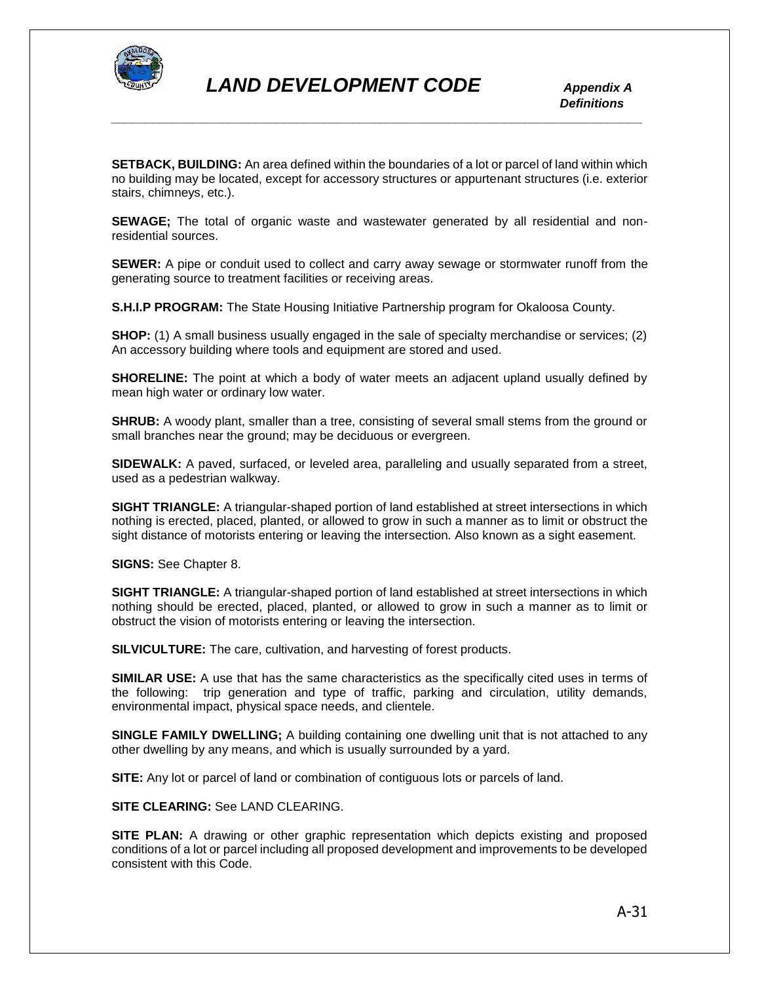

**SETBACK, BUILDING:** An area defined within the boundaries of a lot or parcel of land within which no building may be located, except for accessory structures or appurtenant structures (i.e. exterior stairs, chimneys, etc.).

*\_\_\_\_\_\_\_\_\_\_\_\_\_\_\_\_\_\_\_\_\_\_\_\_\_\_\_\_\_\_\_\_\_\_\_\_\_\_\_\_\_\_\_\_\_\_\_\_\_\_\_\_\_\_\_\_\_\_\_\_\_\_\_\_\_\_\_\_\_\_\_\_\_\_\_\_\_*

**SEWAGE;** The total of organic waste and wastewater generated by all residential and nonresidential sources.

**SEWER:** A pipe or conduit used to collect and carry away sewage or stormwater runoff from the generating source to treatment facilities or receiving areas.

**S.H.I.P PROGRAM:** The State Housing Initiative Partnership program for Okaloosa County.

**SHOP:** (1) A small business usually engaged in the sale of specialty merchandise or services; (2) An accessory building where tools and equipment are stored and used.

**SHORELINE:** The point at which a body of water meets an adjacent upland usually defined by mean high water or ordinary low water.

**SHRUB:** A woody plant, smaller than a tree, consisting of several small stems from the ground or small branches near the ground; may be deciduous or evergreen.

**SIDEWALK:** A paved, surfaced, or leveled area, paralleling and usually separated from a street, used as a pedestrian walkway.

**SIGHT TRIANGLE:** A triangular-shaped portion of land established at street intersections in which nothing is erected, placed, planted, or allowed to grow in such a manner as to limit or obstruct the sight distance of motorists entering or leaving the intersection. Also known as a sight easement.

**SIGNS:** See Chapter 8.

**SIGHT TRIANGLE:** A triangular-shaped portion of land established at street intersections in which nothing should be erected, placed, planted, or allowed to grow in such a manner as to limit or obstruct the vision of motorists entering or leaving the intersection.

**SILVICULTURE:** The care, cultivation, and harvesting of forest products.

**SIMILAR USE:** A use that has the same characteristics as the specifically cited uses in terms of the following: trip generation and type of traffic, parking and circulation, utility demands, environmental impact, physical space needs, and clientele.

**SINGLE FAMILY DWELLING;** A building containing one dwelling unit that is not attached to any other dwelling by any means, and which is usually surrounded by a yard.

**SITE:** Any lot or parcel of land or combination of contiguous lots or parcels of land.

**SITE CLEARING:** See LAND CLEARING.

**SITE PLAN:** A drawing or other graphic representation which depicts existing and proposed conditions of a lot or parcel including all proposed development and improvements to be developed consistent with this Code.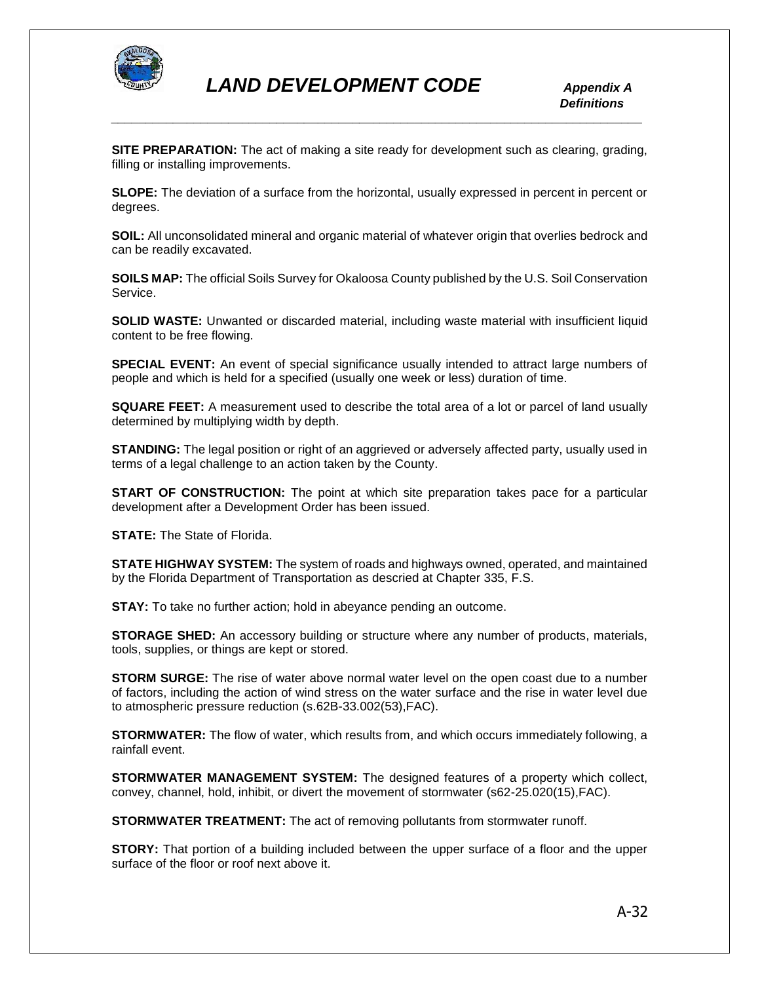

**SITE PREPARATION:** The act of making a site ready for development such as clearing, grading, filling or installing improvements.

**SLOPE:** The deviation of a surface from the horizontal, usually expressed in percent in percent or degrees.

**SOIL:** All unconsolidated mineral and organic material of whatever origin that overlies bedrock and can be readily excavated.

**SOILS MAP:** The official Soils Survey for Okaloosa County published by the U.S. Soil Conservation Service.

**SOLID WASTE:** Unwanted or discarded material, including waste material with insufficient liquid content to be free flowing.

**SPECIAL EVENT:** An event of special significance usually intended to attract large numbers of people and which is held for a specified (usually one week or less) duration of time.

**SQUARE FEET:** A measurement used to describe the total area of a lot or parcel of land usually determined by multiplying width by depth.

**STANDING:** The legal position or right of an aggrieved or adversely affected party, usually used in terms of a legal challenge to an action taken by the County.

**START OF CONSTRUCTION:** The point at which site preparation takes pace for a particular development after a Development Order has been issued.

**STATE:** The State of Florida.

**STATE HIGHWAY SYSTEM:** The system of roads and highways owned, operated, and maintained by the Florida Department of Transportation as descried at Chapter 335, F.S.

**STAY:** To take no further action; hold in abeyance pending an outcome.

**STORAGE SHED:** An accessory building or structure where any number of products, materials, tools, supplies, or things are kept or stored.

**STORM SURGE:** The rise of water above normal water level on the open coast due to a number of factors, including the action of wind stress on the water surface and the rise in water level due to atmospheric pressure reduction (s.62B-33.002(53),FAC).

**STORMWATER:** The flow of water, which results from, and which occurs immediately following, a rainfall event.

**STORMWATER MANAGEMENT SYSTEM:** The designed features of a property which collect, convey, channel, hold, inhibit, or divert the movement of stormwater (s62-25.020(15),FAC).

**STORMWATER TREATMENT:** The act of removing pollutants from stormwater runoff.

**STORY:** That portion of a building included between the upper surface of a floor and the upper surface of the floor or roof next above it.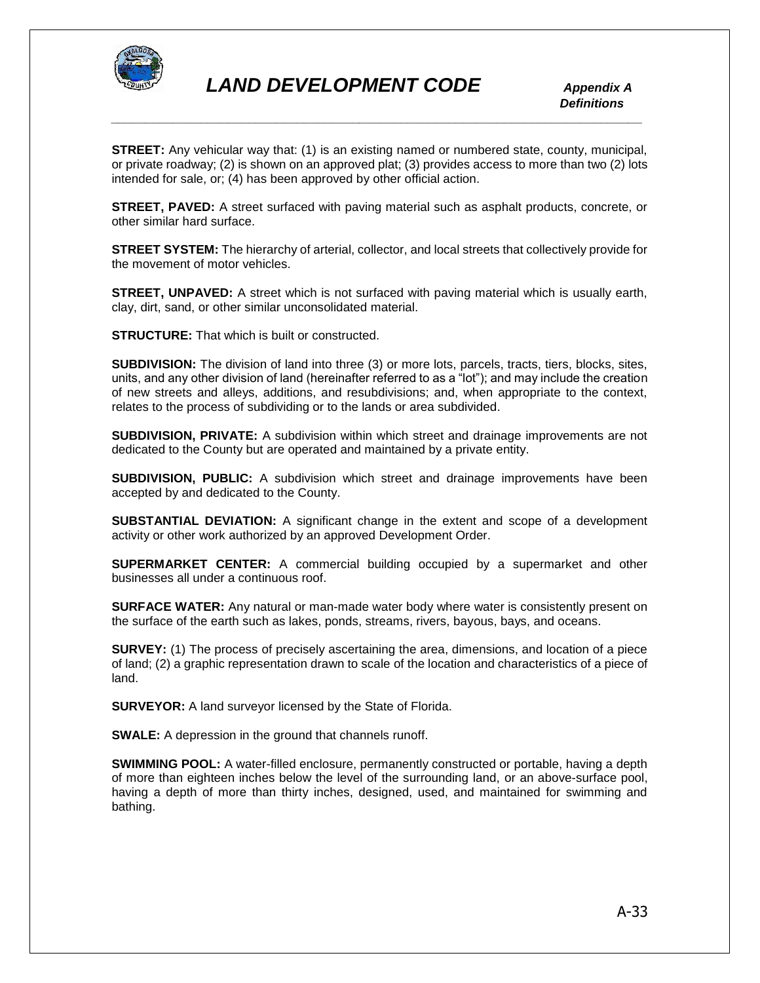

**STREET:** Any vehicular way that: (1) is an existing named or numbered state, county, municipal, or private roadway; (2) is shown on an approved plat; (3) provides access to more than two (2) lots intended for sale, or; (4) has been approved by other official action.

**STREET, PAVED:** A street surfaced with paving material such as asphalt products, concrete, or other similar hard surface.

**STREET SYSTEM:** The hierarchy of arterial, collector, and local streets that collectively provide for the movement of motor vehicles.

**STREET, UNPAVED:** A street which is not surfaced with paving material which is usually earth, clay, dirt, sand, or other similar unconsolidated material.

**STRUCTURE:** That which is built or constructed.

**SUBDIVISION:** The division of land into three (3) or more lots, parcels, tracts, tiers, blocks, sites, units, and any other division of land (hereinafter referred to as a "lot"); and may include the creation of new streets and alleys, additions, and resubdivisions; and, when appropriate to the context, relates to the process of subdividing or to the lands or area subdivided.

**SUBDIVISION, PRIVATE:** A subdivision within which street and drainage improvements are not dedicated to the County but are operated and maintained by a private entity.

**SUBDIVISION, PUBLIC:** A subdivision which street and drainage improvements have been accepted by and dedicated to the County.

**SUBSTANTIAL DEVIATION:** A significant change in the extent and scope of a development activity or other work authorized by an approved Development Order.

**SUPERMARKET CENTER:** A commercial building occupied by a supermarket and other businesses all under a continuous roof.

**SURFACE WATER:** Any natural or man-made water body where water is consistently present on the surface of the earth such as lakes, ponds, streams, rivers, bayous, bays, and oceans.

**SURVEY:** (1) The process of precisely ascertaining the area, dimensions, and location of a piece of land; (2) a graphic representation drawn to scale of the location and characteristics of a piece of land.

**SURVEYOR:** A land surveyor licensed by the State of Florida.

**SWALE:** A depression in the ground that channels runoff.

**SWIMMING POOL:** A water-filled enclosure, permanently constructed or portable, having a depth of more than eighteen inches below the level of the surrounding land, or an above-surface pool, having a depth of more than thirty inches, designed, used, and maintained for swimming and bathing.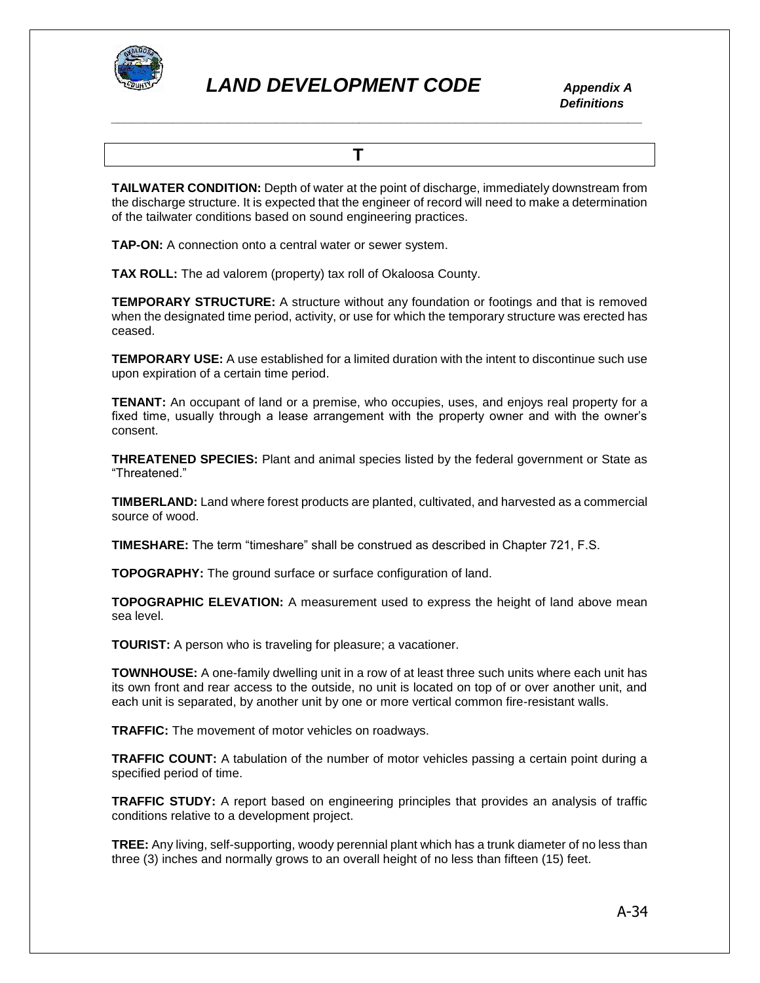

 *Definitions \_\_\_\_\_\_\_\_\_\_\_\_\_\_\_\_\_\_\_\_\_\_\_\_\_\_\_\_\_\_\_\_\_\_\_\_\_\_\_\_\_\_\_\_\_\_\_\_\_\_\_\_\_\_\_\_\_\_\_\_\_\_\_\_\_\_\_\_\_\_\_\_\_\_\_\_\_*

 **T** 

**TAILWATER CONDITION:** Depth of water at the point of discharge, immediately downstream from the discharge structure. It is expected that the engineer of record will need to make a determination of the tailwater conditions based on sound engineering practices.

**TAP-ON:** A connection onto a central water or sewer system.

**TAX ROLL:** The ad valorem (property) tax roll of Okaloosa County.

**TEMPORARY STRUCTURE:** A structure without any foundation or footings and that is removed when the designated time period, activity, or use for which the temporary structure was erected has ceased.

**TEMPORARY USE:** A use established for a limited duration with the intent to discontinue such use upon expiration of a certain time period.

**TENANT:** An occupant of land or a premise, who occupies, uses, and enjoys real property for a fixed time, usually through a lease arrangement with the property owner and with the owner's consent.

**THREATENED SPECIES:** Plant and animal species listed by the federal government or State as "Threatened."

**TIMBERLAND:** Land where forest products are planted, cultivated, and harvested as a commercial source of wood.

**TIMESHARE:** The term "timeshare" shall be construed as described in Chapter 721, F.S.

**TOPOGRAPHY:** The ground surface or surface configuration of land.

**TOPOGRAPHIC ELEVATION:** A measurement used to express the height of land above mean sea level.

**TOURIST:** A person who is traveling for pleasure; a vacationer.

**TOWNHOUSE:** A one-family dwelling unit in a row of at least three such units where each unit has its own front and rear access to the outside, no unit is located on top of or over another unit, and each unit is separated, by another unit by one or more vertical common fire-resistant walls.

**TRAFFIC:** The movement of motor vehicles on roadways.

**TRAFFIC COUNT:** A tabulation of the number of motor vehicles passing a certain point during a specified period of time.

**TRAFFIC STUDY:** A report based on engineering principles that provides an analysis of traffic conditions relative to a development project.

**TREE:** Any living, self-supporting, woody perennial plant which has a trunk diameter of no less than three (3) inches and normally grows to an overall height of no less than fifteen (15) feet.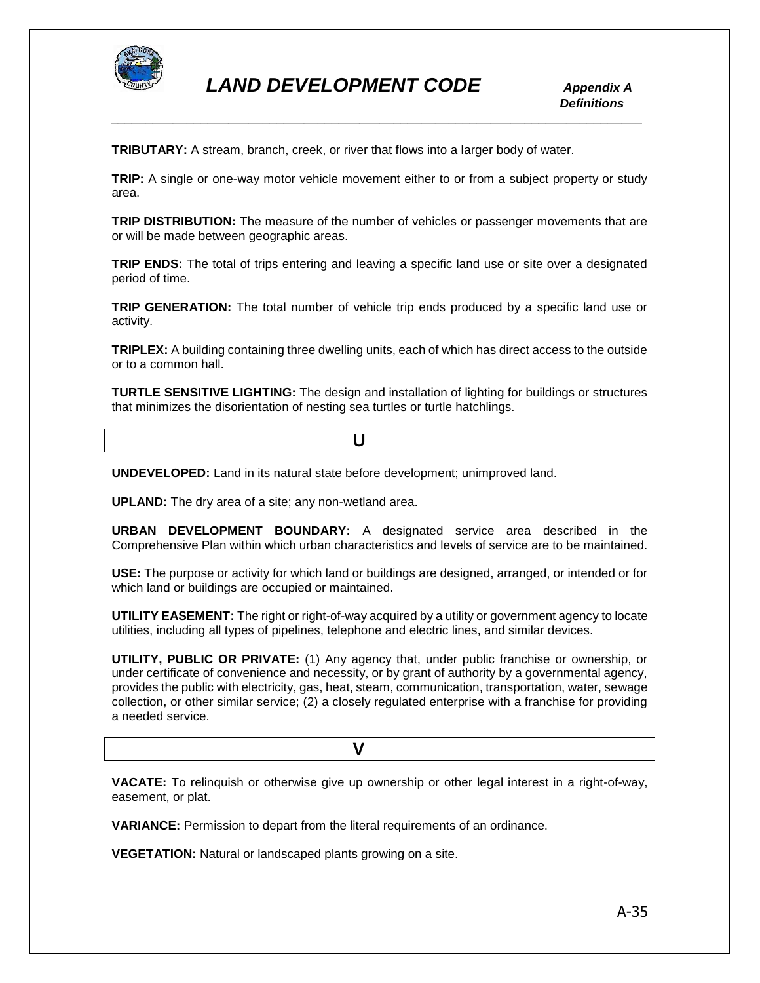

**TRIBUTARY:** A stream, branch, creek, or river that flows into a larger body of water.

**TRIP:** A single or one-way motor vehicle movement either to or from a subject property or study area.

**TRIP DISTRIBUTION:** The measure of the number of vehicles or passenger movements that are or will be made between geographic areas.

**TRIP ENDS:** The total of trips entering and leaving a specific land use or site over a designated period of time.

**TRIP GENERATION:** The total number of vehicle trip ends produced by a specific land use or activity.

**TRIPLEX:** A building containing three dwelling units, each of which has direct access to the outside or to a common hall.

**TURTLE SENSITIVE LIGHTING:** The design and installation of lighting for buildings or structures that minimizes the disorientation of nesting sea turtles or turtle hatchlings.

*<u>U* **U**</u>

**UNDEVELOPED:** Land in its natural state before development; unimproved land.

**UPLAND:** The dry area of a site; any non-wetland area.

**URBAN DEVELOPMENT BOUNDARY:** A designated service area described in the Comprehensive Plan within which urban characteristics and levels of service are to be maintained.

**USE:** The purpose or activity for which land or buildings are designed, arranged, or intended or for which land or buildings are occupied or maintained.

**UTILITY EASEMENT:** The right or right-of-way acquired by a utility or government agency to locate utilities, including all types of pipelines, telephone and electric lines, and similar devices.

**UTILITY, PUBLIC OR PRIVATE:** (1) Any agency that, under public franchise or ownership, or under certificate of convenience and necessity, or by grant of authority by a governmental agency, provides the public with electricity, gas, heat, steam, communication, transportation, water, sewage collection, or other similar service; (2) a closely regulated enterprise with a franchise for providing a needed service.

 **V** 

**VACATE:** To relinquish or otherwise give up ownership or other legal interest in a right-of-way, easement, or plat.

**VARIANCE:** Permission to depart from the literal requirements of an ordinance.

**VEGETATION:** Natural or landscaped plants growing on a site.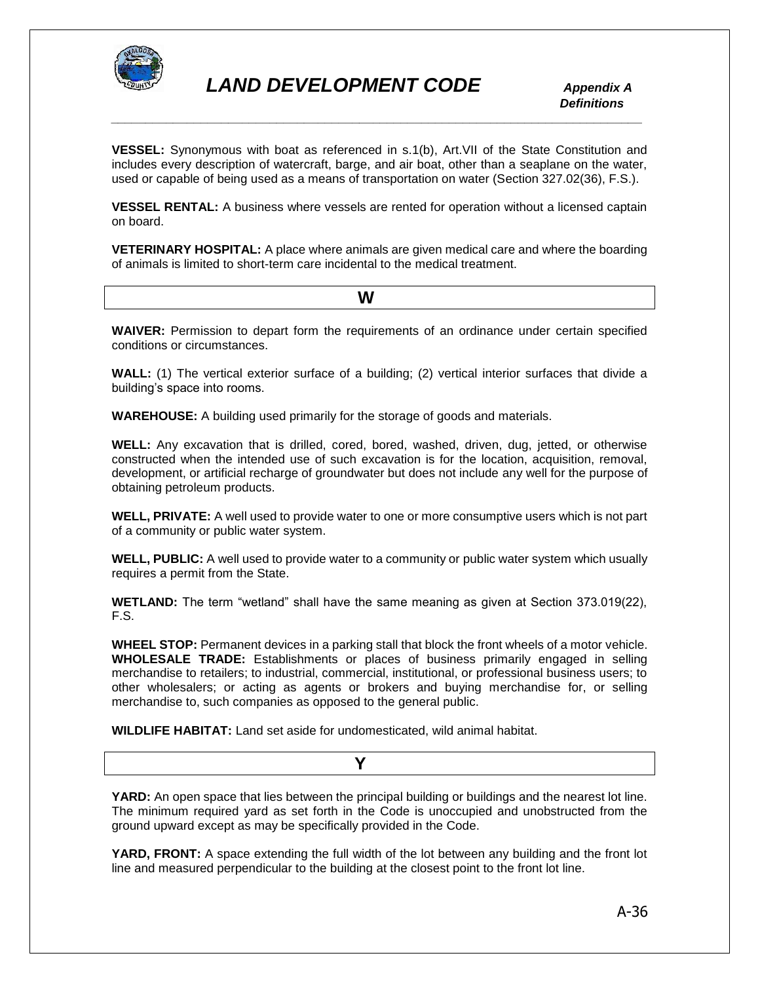

**VESSEL:** Synonymous with boat as referenced in s.1(b), Art.VII of the State Constitution and includes every description of watercraft, barge, and air boat, other than a seaplane on the water, used or capable of being used as a means of transportation on water (Section 327.02(36), F.S.).

**VESSEL RENTAL:** A business where vessels are rented for operation without a licensed captain on board.

**VETERINARY HOSPITAL:** A place where animals are given medical care and where the boarding of animals is limited to short-term care incidental to the medical treatment.

 **W** 

**WAIVER:** Permission to depart form the requirements of an ordinance under certain specified conditions or circumstances.

**WALL:** (1) The vertical exterior surface of a building; (2) vertical interior surfaces that divide a building's space into rooms.

**WAREHOUSE:** A building used primarily for the storage of goods and materials.

**WELL:** Any excavation that is drilled, cored, bored, washed, driven, dug, jetted, or otherwise constructed when the intended use of such excavation is for the location, acquisition, removal, development, or artificial recharge of groundwater but does not include any well for the purpose of obtaining petroleum products.

**WELL, PRIVATE:** A well used to provide water to one or more consumptive users which is not part of a community or public water system.

**WELL, PUBLIC:** A well used to provide water to a community or public water system which usually requires a permit from the State.

**WETLAND:** The term "wetland" shall have the same meaning as given at Section 373.019(22), F.S.

**WHEEL STOP:** Permanent devices in a parking stall that block the front wheels of a motor vehicle. **WHOLESALE TRADE:** Establishments or places of business primarily engaged in selling merchandise to retailers; to industrial, commercial, institutional, or professional business users; to other wholesalers; or acting as agents or brokers and buying merchandise for, or selling merchandise to, such companies as opposed to the general public.

**WILDLIFE HABITAT:** Land set aside for undomesticated, wild animal habitat.

**YARD:** An open space that lies between the principal building or buildings and the nearest lot line. The minimum required yard as set forth in the Code is unoccupied and unobstructed from the ground upward except as may be specifically provided in the Code.

**YARD, FRONT:** A space extending the full width of the lot between any building and the front lot line and measured perpendicular to the building at the closest point to the front lot line.